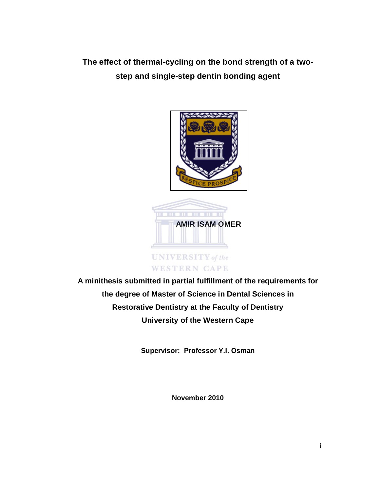**The effect of thermal-cycling on the bond strength of a twostep and single-step dentin bonding agent**



**A minithesis submitted in partial fulfillment of the requirements for the degree of Master of Science in Dental Sciences in Restorative Dentistry at the Faculty of Dentistry University of the Western Cape**

**Supervisor: Professor Y.I. Osman**

**November 2010**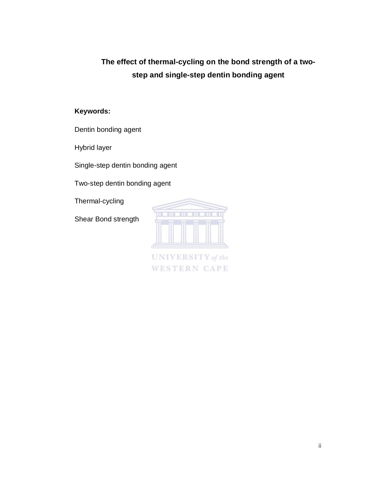# **The effect of thermal-cycling on the bond strength of a twostep and single-step dentin bonding agent**

## **Keywords:**

Dentin bonding agent

Hybrid layer

Single-step dentin bonding agent

Two-step dentin bonding agent

Thermal-cycling

Shear Bond strength



**UNIVERSITY** of the **WESTERN CAPE**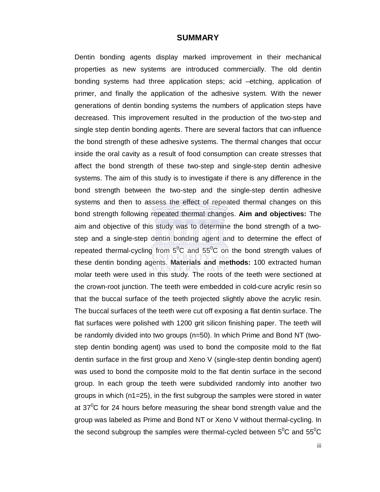#### **SUMMARY**

Dentin bonding agents display marked improvement in their mechanical properties as new systems are introduced commercially. The old dentin bonding systems had three application steps; acid –etching, application of primer, and finally the application of the adhesive system. With the newer generations of dentin bonding systems the numbers of application steps have decreased. This improvement resulted in the production of the two-step and single step dentin bonding agents. There are several factors that can influence the bond strength of these adhesive systems. The thermal changes that occur inside the oral cavity as a result of food consumption can create stresses that affect the bond strength of these two-step and single-step dentin adhesive systems. The aim of this study is to investigate if there is any difference in the bond strength between the two-step and the single-step dentin adhesive systems and then to assess the effect of repeated thermal changes on this bond strength following repeated thermal changes. **Aim and objectives:** The aim and objective of this study was to determine the bond strength of a twostep and a single-step dentin bonding agent and to determine the effect of repeated thermal-cycling from  $5^0C$  and  $55^0C$  on the bond strength values of these dentin bonding agents. **Materials and methods:** 100 extracted human molar teeth were used in this study. The roots of the teeth were sectioned at the crown-root junction. The teeth were embedded in cold-cure acrylic resin so that the buccal surface of the teeth projected slightly above the acrylic resin. The buccal surfaces of the teeth were cut off exposing a flat dentin surface. The flat surfaces were polished with 1200 grit silicon finishing paper. The teeth will be randomly divided into two groups (n=50). In which Prime and Bond NT (twostep dentin bonding agent) was used to bond the composite mold to the flat dentin surface in the first group and Xeno V (single-step dentin bonding agent) was used to bond the composite mold to the flat dentin surface in the second group. In each group the teeth were subdivided randomly into another two groups in which (n1=25), in the first subgroup the samples were stored in water at  $37^{\circ}$ C for 24 hours before measuring the shear bond strength value and the group was labeled as Prime and Bond NT or Xeno V without thermal-cycling. In the second subgroup the samples were thermal-cycled between  $5^0C$  and  $55^0C$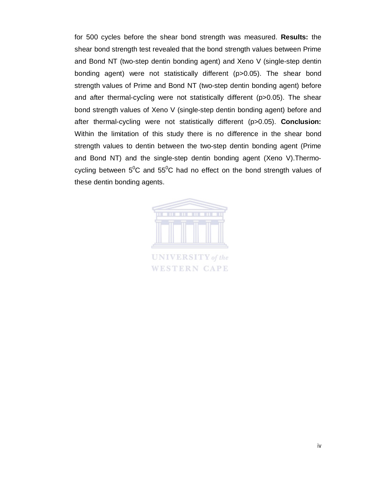for 500 cycles before the shear bond strength was measured. **Results:** the shear bond strength test revealed that the bond strength values between Prime and Bond NT (two-step dentin bonding agent) and Xeno V (single-step dentin bonding agent) were not statistically different (p>0.05). The shear bond strength values of Prime and Bond NT (two-step dentin bonding agent) before and after thermal-cycling were not statistically different (p>0.05). The shear bond strength values of Xeno V (single-step dentin bonding agent) before and after thermal-cycling were not statistically different (p>0.05). **Conclusion:**  Within the limitation of this study there is no difference in the shear bond strength values to dentin between the two-step dentin bonding agent (Prime and Bond NT) and the single-step dentin bonding agent (Xeno V).Thermocycling between  $5^0C$  and  $55^0C$  had no effect on the bond strength values of these dentin bonding agents.

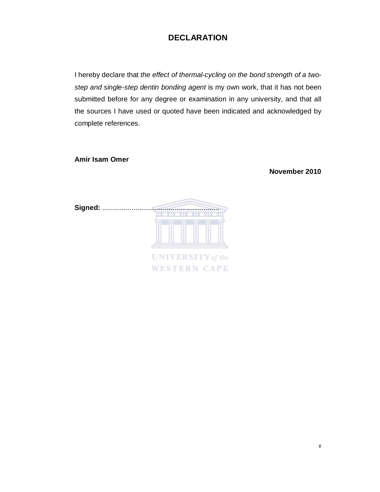# **DECLARATION**

I hereby declare that *the effect of thermal-cycling on the bond strength of a twostep and single-step dentin bonding agent* is my own work, that it has not been submitted before for any degree or examination in any university, and that all the sources I have used or quoted have been indicated and acknowledged by complete references.

**Amir Isam Omer**

**November 2010**

| Signed: |                          |
|---------|--------------------------|
|         | <b>.</b>                 |
|         |                          |
|         |                          |
|         | <b>UNIVERSITY</b> of the |
|         | <b>WESTERN CAPE</b>      |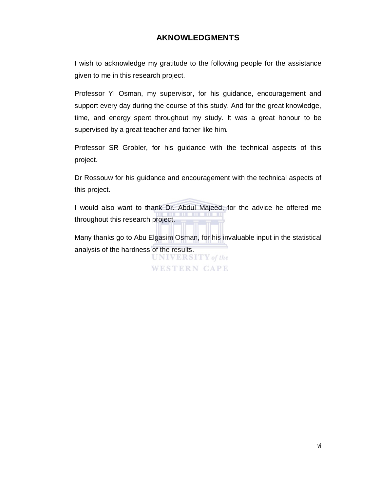## **AKNOWLEDGMENTS**

I wish to acknowledge my gratitude to the following people for the assistance given to me in this research project.

Professor YI Osman, my supervisor, for his guidance, encouragement and support every day during the course of this study. And for the great knowledge, time, and energy spent throughout my study. It was a great honour to be supervised by a great teacher and father like him.

Professor SR Grobler, for his guidance with the technical aspects of this project.

Dr Rossouw for his guidance and encouragement with the technical aspects of this project.

I would also want to thank Dr. Abdul Majeed, for the advice he offered me throughout this research project.

Many thanks go to Abu Elgasim Osman, for his invaluable input in the statistical analysis of the hardness of the results.

> **UNIVERSITY** of the **WESTERN CAPE**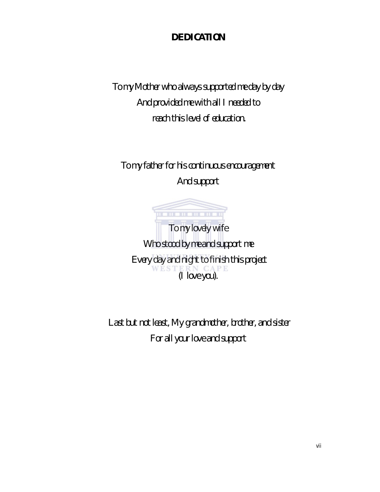# *DEDICATION*

*To my Mother who always supported me day by day And provided me with all I needed to reach this level of education.*

*To my father for his continuous encouragement And support* 

. . . . . . . . . . *To my lovely wife Who stood by me and support me Every day and night to finish this project (I love you).*

*Last but not least, My grandmother, brother, and sister For all your love and support*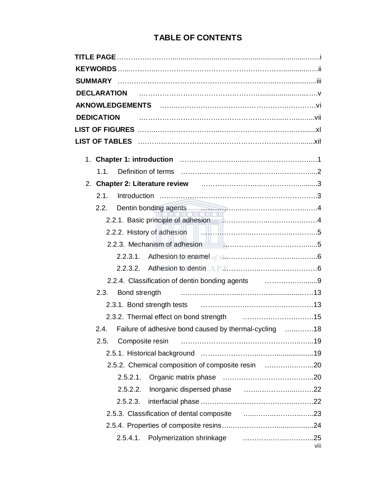# **TABLE OF CONTENTS**

| 2. Chapter 2: Literature review <b>contained a material container and a</b> 3                                                                                                                                                                |      |
|----------------------------------------------------------------------------------------------------------------------------------------------------------------------------------------------------------------------------------------------|------|
| 2.1.                                                                                                                                                                                                                                         |      |
| Dentin bonding agents <b>continuum contract and all the contract of the contract of the contract of the contract of the contract of the contract of the contract of the contract of the contract of the contract of the contract</b><br>2.2. |      |
|                                                                                                                                                                                                                                              |      |
|                                                                                                                                                                                                                                              |      |
|                                                                                                                                                                                                                                              |      |
|                                                                                                                                                                                                                                              |      |
|                                                                                                                                                                                                                                              |      |
| 2.2.4. Classification of dentin bonding agents <b>construents</b> 1.1.1.1.1.1.1.1.1.1.1.9                                                                                                                                                    |      |
|                                                                                                                                                                                                                                              |      |
|                                                                                                                                                                                                                                              |      |
|                                                                                                                                                                                                                                              |      |
| Failure of adhesive bond caused by thermal-cycling 18<br>2.4.                                                                                                                                                                                |      |
| Composite resin<br>2.5.                                                                                                                                                                                                                      |      |
|                                                                                                                                                                                                                                              |      |
| 2.5.2. Chemical composition of composite resin 20                                                                                                                                                                                            |      |
|                                                                                                                                                                                                                                              |      |
| 2.5.2.2.                                                                                                                                                                                                                                     |      |
| 2.5.2.3.                                                                                                                                                                                                                                     |      |
|                                                                                                                                                                                                                                              |      |
|                                                                                                                                                                                                                                              |      |
| Polymerization shrinkage manufactured with the Polymerization shrinkage<br>2.5.4.1.                                                                                                                                                          | viii |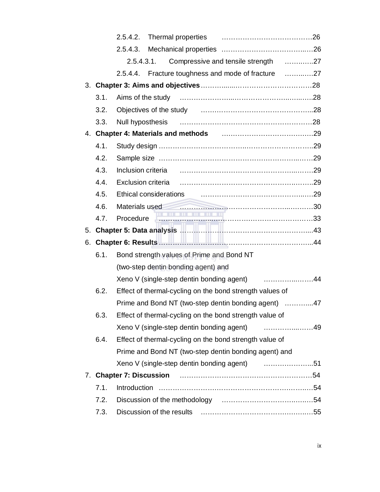|      | 2.5.4.2.                                                                                                                          |  |
|------|-----------------------------------------------------------------------------------------------------------------------------------|--|
|      | 2.5.4.3.                                                                                                                          |  |
|      | Compressive and tensile strength 27<br>2.5.4.3.1.                                                                                 |  |
|      | 2.5.4.4. Fracture toughness and mode of fracture 27                                                                               |  |
|      |                                                                                                                                   |  |
| 3.1. |                                                                                                                                   |  |
| 3.2. |                                                                                                                                   |  |
| 3.3. |                                                                                                                                   |  |
|      | 4. Chapter 4: Materials and methods [1,1,1,1,1,1,1,1,1,1,1,1,1,1,1,1,1,29]                                                        |  |
| 4.1. |                                                                                                                                   |  |
| 4.2. |                                                                                                                                   |  |
| 4.3. |                                                                                                                                   |  |
| 4.4. | Exclusion criteria (and the control of the case of the case of the case of the case of the case of the case of                    |  |
| 4.5. | Ethical considerations <b>contained a material considerations</b> and considerations                                              |  |
| 4.6. | Materials used                                                                                                                    |  |
| 4.7. | <u> 1988 - 1989 - 1989 - 1989 - 1989 - 1989 - 1989 - 1989 - 1989 - 1989 - 1989 - 1989 - 1989 - 1989 - 1989 - 198</u><br>Procedure |  |
|      |                                                                                                                                   |  |
|      |                                                                                                                                   |  |
| 6.1. | Bond strength values of Prime and Bond NT                                                                                         |  |
|      | (two-step dentin bonding agent) and                                                                                               |  |
|      | Xeno V (single-step dentin bonding agent) 44                                                                                      |  |
| 6.2. | Effect of thermal-cycling on the bond strength values of                                                                          |  |
|      | Prime and Bond NT (two-step dentin bonding agent) 47                                                                              |  |
| 6.3. | Effect of thermal-cycling on the bond strength value of                                                                           |  |
|      | Xeno V (single-step dentin bonding agent)                                                                                         |  |
| 6.4. | Effect of thermal-cycling on the bond strength value of                                                                           |  |
|      | Prime and Bond NT (two-step dentin bonding agent) and                                                                             |  |
|      |                                                                                                                                   |  |
|      |                                                                                                                                   |  |
| 7.1. |                                                                                                                                   |  |
| 7.2. |                                                                                                                                   |  |
| 7.3. |                                                                                                                                   |  |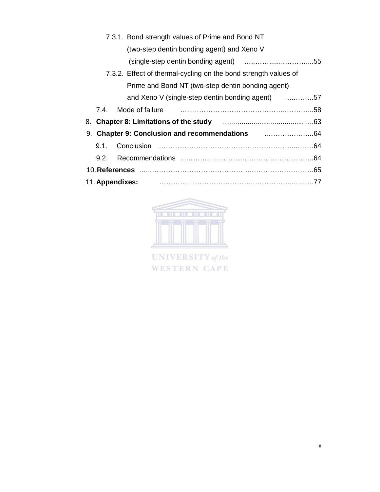|  | 7.3.1. Bond strength values of Prime and Bond NT                       |  |
|--|------------------------------------------------------------------------|--|
|  | (two-step dentin bonding agent) and Xeno V                             |  |
|  |                                                                        |  |
|  | 7.3.2. Effect of thermal-cycling on the bond strength values of        |  |
|  | Prime and Bond NT (two-step dentin bonding agent)                      |  |
|  | and Xeno V (single-step dentin bonding agent) 57                       |  |
|  | 7.4. Mode of failure <b>contract to the contract of failure</b> $\sim$ |  |
|  |                                                                        |  |
|  |                                                                        |  |
|  |                                                                        |  |
|  |                                                                        |  |
|  |                                                                        |  |
|  | 11. Appendixes:                                                        |  |



**UNIVERSITY** of the WESTERN CAPE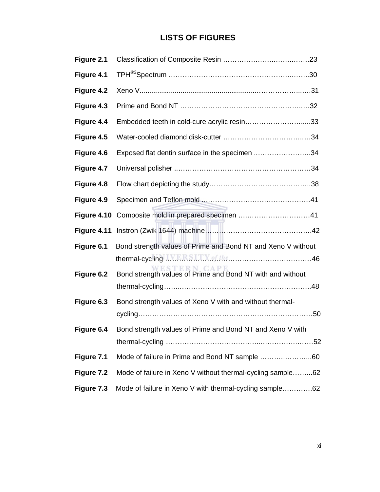# **LISTS OF FIGURES**

| Figure 2.1  |                                                                                 |
|-------------|---------------------------------------------------------------------------------|
| Figure 4.1  |                                                                                 |
| Figure 4.2  |                                                                                 |
| Figure 4.3  |                                                                                 |
| Figure 4.4  | Embedded teeth in cold-cure acrylic resin33                                     |
| Figure 4.5  |                                                                                 |
| Figure 4.6  | Exposed flat dentin surface in the specimen 34                                  |
| Figure 4.7  |                                                                                 |
| Figure 4.8  |                                                                                 |
| Figure 4.9  |                                                                                 |
| Figure 4.10 |                                                                                 |
| Figure 4.11 |                                                                                 |
| Figure 6.1  | Bond strength values of Prime and Bond NT and Xeno V without                    |
|             |                                                                                 |
| Figure 6.2  | <b>STERN CAPE</b><br>Bond strength values of Prime and Bond NT with and without |
|             |                                                                                 |
| Figure 6.3  | Bond strength values of Xeno V with and without thermal-                        |
|             |                                                                                 |
| Figure 6.4  | Bond strength values of Prime and Bond NT and Xeno V with                       |
|             |                                                                                 |
| Figure 7.1  | Mode of failure in Prime and Bond NT sample 60                                  |
| Figure 7.2  | Mode of failure in Xeno V without thermal-cycling sample62                      |
| Figure 7.3  | Mode of failure in Xeno V with thermal-cycling sample62                         |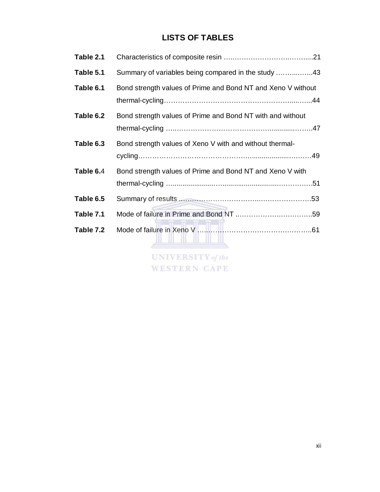# **LISTS OF TABLES**

| Table 2.1 |                                                              |  |  |
|-----------|--------------------------------------------------------------|--|--|
| Table 5.1 | Summary of variables being compared in the study 43          |  |  |
| Table 6.1 | Bond strength values of Prime and Bond NT and Xeno V without |  |  |
| Table 6.2 | Bond strength values of Prime and Bond NT with and without   |  |  |
| Table 6.3 | Bond strength values of Xeno V with and without thermal-     |  |  |
| Table 6.4 | Bond strength values of Prime and Bond NT and Xeno V with    |  |  |
| Table 6.5 |                                                              |  |  |
| Table 7.1 |                                                              |  |  |
| Table 7.2 | <b>UNIVERSITY</b> of the                                     |  |  |

**WESTERN CAPE**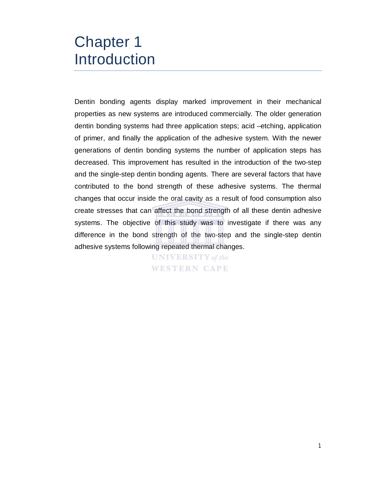# Chapter 1 Introduction

Dentin bonding agents display marked improvement in their mechanical properties as new systems are introduced commercially. The older generation dentin bonding systems had three application steps; acid –etching, application of primer, and finally the application of the adhesive system. With the newer generations of dentin bonding systems the number of application steps has decreased. This improvement has resulted in the introduction of the two-step and the single-step dentin bonding agents. There are several factors that have contributed to the bond strength of these adhesive systems. The thermal changes that occur inside the oral cavity as a result of food consumption also create stresses that can affect the bond strength of all these dentin adhesive systems. The objective of this study was to investigate if there was any difference in the bond strength of the two-step and the single-step dentin adhesive systems following repeated thermal changes.

> **UNIVERSITY** of the WESTERN CAPE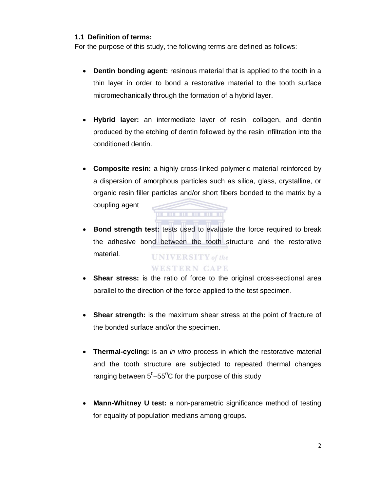## **1.1 Definition of terms:**

For the purpose of this study, the following terms are defined as follows:

- **Dentin bonding agent:** resinous material that is applied to the tooth in a thin layer in order to bond a restorative material to the tooth surface micromechanically through the formation of a hybrid layer.
- **Hybrid layer:** an intermediate layer of resin, collagen, and dentin produced by the etching of dentin followed by the resin infiltration into the conditioned dentin.
- **Composite resin:** a highly cross-linked polymeric material reinforced by a dispersion of amorphous particles such as silica, glass, crystalline, or organic resin filler particles and/or short fibers bonded to the matrix by a coupling agent . . . . . . . . . . . .
- **Bond strength test:** tests used to evaluate the force required to break the adhesive bond between the tooth structure and the restorative material. **UNIVERSITY** of the

## **WESTERN CAPE**

- **Shear stress:** is the ratio of force to the original cross-sectional area parallel to the direction of the force applied to the test specimen.
- **Shear strength:** is the maximum shear stress at the point of fracture of the bonded surface and/or the specimen.
- **Thermal-cycling:** is an *in vitro* process in which the restorative material and the tooth structure are subjected to repeated thermal changes ranging between  $5^0$ –55 $^0$ C for the purpose of this study
- **Mann-Whitney U test:** a non-parametric significance method of testing for equality of population medians among groups.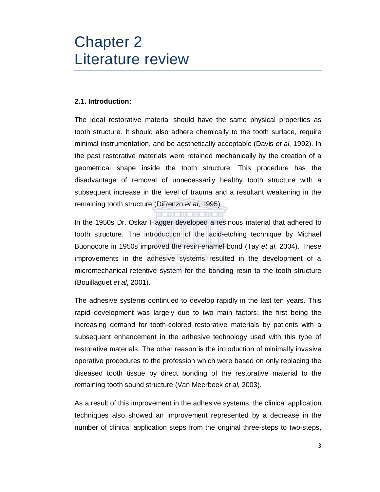# Chapter 2 Literature review

## **2.1. Introduction:**

The ideal restorative material should have the same physical properties as tooth structure. It should also adhere chemically to the tooth surface, require minimal instrumentation, and be aesthetically acceptable (Davis *et al*, 1992). In the past restorative materials were retained mechanically by the creation of a geometrical shape inside the tooth structure. This procedure has the disadvantage of removal of unnecessarily healthy tooth structure with a subsequent increase in the level of trauma and a resultant weakening in the remaining tooth structure (DiRenzo *et al*, 1995).

In the 1950s Dr. Oskar Hagger developed a resinous material that adhered to tooth structure. The introduction of the acid-etching technique by Michael Buonocore in 1950s improved the resin-enamel bond (Tay *et al*, 2004). These improvements in the adhesive systems resulted in the development of a micromechanical retentive system for the bonding resin to the tooth structure (Bouillaguet *et al*, 2001).

The adhesive systems continued to develop rapidly in the last ten years. This rapid development was largely due to two main factors; the first being the increasing demand for tooth-colored restorative materials by patients with a subsequent enhancement in the adhesive technology used with this type of restorative materials. The other reason is the introduction of minimally invasive operative procedures to the profession which were based on only replacing the diseased tooth tissue by direct bonding of the restorative material to the remaining tooth sound structure (Van Meerbeek *et al*, 2003).

As a result of this improvement in the adhesive systems, the clinical application techniques also showed an improvement represented by a decrease in the number of clinical application steps from the original three-steps to two-steps,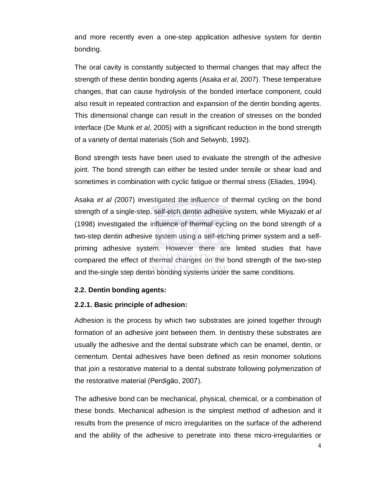and more recently even a one-step application adhesive system for dentin bonding.

The oral cavity is constantly subjected to thermal changes that may affect the strength of these dentin bonding agents (Asaka *et al*, 2007). These temperature changes, that can cause hydrolysis of the bonded interface component, could also result in repeated contraction and expansion of the dentin bonding agents. This dimensional change can result in the creation of stresses on the bonded interface (De Munk *et al*, 2005) with a significant reduction in the bond strength of a variety of dental materials (Soh and Selwynb, 1992).

Bond strength tests have been used to evaluate the strength of the adhesive joint. The bond strength can either be tested under tensile or shear load and sometimes in combination with cyclic fatigue or thermal stress (Eliades, 1994).

Asaka *et al (*2007) investigated the influence of thermal cycling on the bond strength of a single-step, self-etch dentin adhesive system, while Miyazaki *et al* (1998) investigated the influence of thermal cycling on the bond strength of a two-step dentin adhesive system using a self-etching primer system and a selfpriming adhesive system. However there are limited studies that have compared the effect of thermal changes on the bond strength of the two-step and the-single step dentin bonding systems under the same conditions.

#### **2.2. Dentin bonding agents:**

#### **2.2.1. Basic principle of adhesion:**

Adhesion is the process by which two substrates are joined together through formation of an adhesive joint between them. In dentistry these substrates are usually the adhesive and the dental substrate which can be enamel, dentin, or cementum. Dental adhesives have been defined as resin monomer solutions that join a restorative material to a dental substrate following polymerization of the restorative material (Perdigăo, 2007).

The adhesive bond can be mechanical, physical, chemical, or a combination of these bonds. Mechanical adhesion is the simplest method of adhesion and it results from the presence of micro irregularities on the surface of the adherend and the ability of the adhesive to penetrate into these micro-irregularities or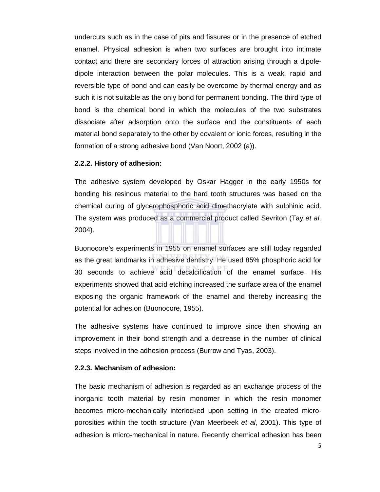undercuts such as in the case of pits and fissures or in the presence of etched enamel. Physical adhesion is when two surfaces are brought into intimate contact and there are secondary forces of attraction arising through a dipoledipole interaction between the polar molecules. This is a weak, rapid and reversible type of bond and can easily be overcome by thermal energy and as such it is not suitable as the only bond for permanent bonding. The third type of bond is the chemical bond in which the molecules of the two substrates dissociate after adsorption onto the surface and the constituents of each material bond separately to the other by covalent or ionic forces, resulting in the formation of a strong adhesive bond (Van Noort, 2002 (a)).

#### **2.2.2. History of adhesion:**

The adhesive system developed by Oskar Hagger in the early 1950s for bonding his resinous material to the hard tooth structures was based on the chemical curing of glycerophosphoric acid dimethacrylate with sulphinic acid. The system was produced as a commercial product called Sevriton (Tay *et al*, 2004).

Buonocore's experiments in 1955 on enamel surfaces are still today regarded as the great landmarks in adhesive dentistry. He used 85% phosphoric acid for 30 seconds to achieve acid decalcification of the enamel surface. His experiments showed that acid etching increased the surface area of the enamel exposing the organic framework of the enamel and thereby increasing the potential for adhesion (Buonocore, 1955).

The adhesive systems have continued to improve since then showing an improvement in their bond strength and a decrease in the number of clinical steps involved in the adhesion process (Burrow and Tyas, 2003).

#### **2.2.3. Mechanism of adhesion:**

The basic mechanism of adhesion is regarded as an exchange process of the inorganic tooth material by resin monomer in which the resin monomer becomes micro-mechanically interlocked upon setting in the created microporosities within the tooth structure (Van Meerbeek *et al*, 2001). This type of adhesion is micro-mechanical in nature. Recently chemical adhesion has been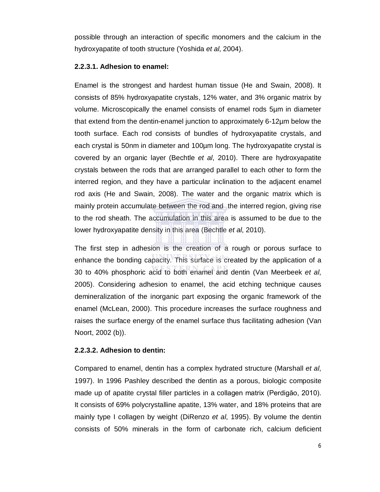possible through an interaction of specific monomers and the calcium in the hydroxyapatite of tooth structure (Yoshida *et al*, 2004).

#### **2.2.3.1. Adhesion to enamel:**

Enamel is the strongest and hardest human tissue (He and Swain, 2008). It consists of 85% hydroxyapatite crystals, 12% water, and 3% organic matrix by volume. Microscopically the enamel consists of enamel rods 5µm in diameter that extend from the dentin-enamel junction to approximately 6-12µm below the tooth surface. Each rod consists of bundles of hydroxyapatite crystals, and each crystal is 50nm in diameter and 100µm long. The hydroxyapatite crystal is covered by an organic layer (Bechtle *et al*, 2010). There are hydroxyapatite crystals between the rods that are arranged parallel to each other to form the interred region, and they have a particular inclination to the adjacent enamel rod axis (He and Swain, 2008). The water and the organic matrix which is mainly protein accumulate between the rod and the interred region, giving rise to the rod sheath. The accumulation in this area is assumed to be due to the lower hydroxyapatite density in this area (Bechtle *et al*, 2010).

The first step in adhesion is the creation of a rough or porous surface to enhance the bonding capacity. This surface is created by the application of a 30 to 40% phosphoric acid to both enamel and dentin (Van Meerbeek *et al*, 2005). Considering adhesion to enamel, the acid etching technique causes demineralization of the inorganic part exposing the organic framework of the enamel (McLean, 2000). This procedure increases the surface roughness and raises the surface energy of the enamel surface thus facilitating adhesion (Van Noort, 2002 (b)).

#### **2.2.3.2. Adhesion to dentin:**

Compared to enamel, dentin has a complex hydrated structure (Marshall *et al*, 1997). In 1996 Pashley described the dentin as a porous, biologic composite made up of apatite crystal filler particles in a collagen matrix (Perdigăo, 2010). It consists of 69% polycrystalline apatite, 13% water, and 18% proteins that are mainly type I collagen by weight (DiRenzo *et al*, 1995). By volume the dentin consists of 50% minerals in the form of carbonate rich, calcium deficient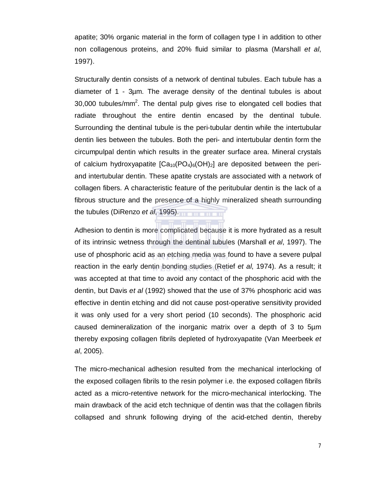apatite; 30% organic material in the form of collagen type I in addition to other non collagenous proteins, and 20% fluid similar to plasma (Marshall *et al*, 1997).

Structurally dentin consists of a network of dentinal tubules. Each tubule has a diameter of 1 - 3µm. The average density of the dentinal tubules is about 30,000 tubules/mm<sup>2</sup>. The dental pulp gives rise to elongated cell bodies that radiate throughout the entire dentin encased by the dentinal tubule. Surrounding the dentinal tubule is the peri-tubular dentin while the intertubular dentin lies between the tubules. Both the peri- and intertubular dentin form the circumpulpal dentin which results in the greater surface area. Mineral crystals of calcium hydroxyapatite  $[Ca<sub>10</sub>(PO<sub>4</sub>)<sub>6</sub>(OH)<sub>2</sub>]$  are deposited between the periand intertubular dentin. These apatite crystals are associated with a network of collagen fibers. A characteristic feature of the peritubular dentin is the lack of a fibrous structure and the presence of a highly mineralized sheath surrounding the tubules (DiRenzo *et al*, 1995).

Adhesion to dentin is more complicated because it is more hydrated as a result of its intrinsic wetness through the dentinal tubules (Marshall *et al*, 1997). The use of phosphoric acid as an etching media was found to have a severe pulpal reaction in the early dentin bonding studies (Retief *et al*, 1974). As a result; it was accepted at that time to avoid any contact of the phosphoric acid with the dentin, but Davis *et al* (1992) showed that the use of 37% phosphoric acid was effective in dentin etching and did not cause post-operative sensitivity provided it was only used for a very short period (10 seconds). The phosphoric acid caused demineralization of the inorganic matrix over a depth of 3 to 5µm thereby exposing collagen fibrils depleted of hydroxyapatite (Van Meerbeek *et al*, 2005).

The micro-mechanical adhesion resulted from the mechanical interlocking of the exposed collagen fibrils to the resin polymer i.e. the exposed collagen fibrils acted as a micro-retentive network for the micro-mechanical interlocking. The main drawback of the acid etch technique of dentin was that the collagen fibrils collapsed and shrunk following drying of the acid-etched dentin, thereby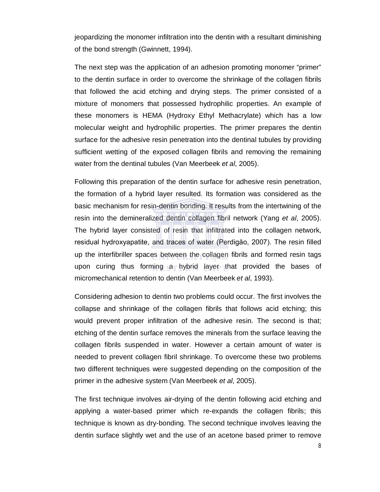jeopardizing the monomer infiltration into the dentin with a resultant diminishing of the bond strength (Gwinnett, 1994).

The next step was the application of an adhesion promoting monomer "primer" to the dentin surface in order to overcome the shrinkage of the collagen fibrils that followed the acid etching and drying steps. The primer consisted of a mixture of monomers that possessed hydrophilic properties. An example of these monomers is HEMA (Hydroxy Ethyl Methacrylate) which has a low molecular weight and hydrophilic properties. The primer prepares the dentin surface for the adhesive resin penetration into the dentinal tubules by providing sufficient wetting of the exposed collagen fibrils and removing the remaining water from the dentinal tubules (Van Meerbeek *et al*, 2005).

Following this preparation of the dentin surface for adhesive resin penetration, the formation of a hybrid layer resulted. Its formation was considered as the basic mechanism for resin-dentin bonding. It results from the intertwining of the resin into the demineralized dentin collagen fibril network (Yang *et al*, 2005). The hybrid layer consisted of resin that infiltrated into the collagen network, residual hydroxyapatite, and traces of water (Perdigăo, 2007). The resin filled up the interfibriller spaces between the collagen fibrils and formed resin tags upon curing thus forming a hybrid layer that provided the bases of micromechanical retention to dentin (Van Meerbeek *et al*, 1993).

Considering adhesion to dentin two problems could occur. The first involves the collapse and shrinkage of the collagen fibrils that follows acid etching; this would prevent proper infiltration of the adhesive resin. The second is that; etching of the dentin surface removes the minerals from the surface leaving the collagen fibrils suspended in water. However a certain amount of water is needed to prevent collagen fibril shrinkage. To overcome these two problems two different techniques were suggested depending on the composition of the primer in the adhesive system (Van Meerbeek *et al*, 2005).

The first technique involves air-drying of the dentin following acid etching and applying a water-based primer which re-expands the collagen fibrils; this technique is known as dry-bonding. The second technique involves leaving the dentin surface slightly wet and the use of an acetone based primer to remove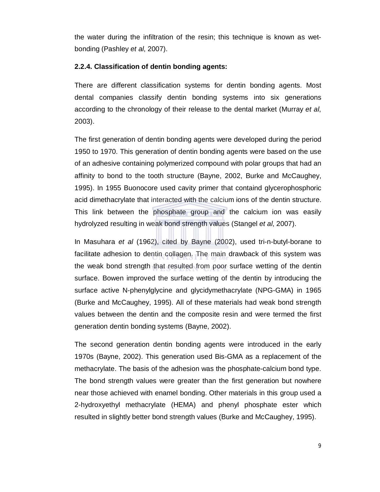the water during the infiltration of the resin; this technique is known as wetbonding (Pashley *et al*, 2007).

#### **2.2.4. Classification of dentin bonding agents:**

There are different classification systems for dentin bonding agents. Most dental companies classify dentin bonding systems into six generations according to the chronology of their release to the dental market (Murray *et al*, 2003).

The first generation of dentin bonding agents were developed during the period 1950 to 1970. This generation of dentin bonding agents were based on the use of an adhesive containing polymerized compound with polar groups that had an affinity to bond to the tooth structure (Bayne, 2002, Burke and McCaughey, 1995). In 1955 Buonocore used cavity primer that containd glycerophosphoric acid dimethacrylate that interacted with the calcium ions of the dentin structure. This link between the phosphate group and the calcium ion was easily hydrolyzed resulting in weak bond strength values (Stangel *et al*, 2007).

In Masuhara *et al* (1962), cited by Bayne (2002), used tri-n-butyl-borane to facilitate adhesion to dentin collagen. The main drawback of this system was the weak bond strength that resulted from poor surface wetting of the dentin surface. Bowen improved the surface wetting of the dentin by introducing the surface active N-phenylglycine and glycidymethacrylate (NPG-GMA) in 1965 (Burke and McCaughey, 1995). All of these materials had weak bond strength values between the dentin and the composite resin and were termed the first generation dentin bonding systems (Bayne, 2002).

The second generation dentin bonding agents were introduced in the early 1970s (Bayne, 2002). This generation used Bis-GMA as a replacement of the methacrylate. The basis of the adhesion was the phosphate-calcium bond type. The bond strength values were greater than the first generation but nowhere near those achieved with enamel bonding. Other materials in this group used a 2-hydroxyethyl methacrylate (HEMA) and phenyl phosphate ester which resulted in slightly better bond strength values (Burke and McCaughey, 1995).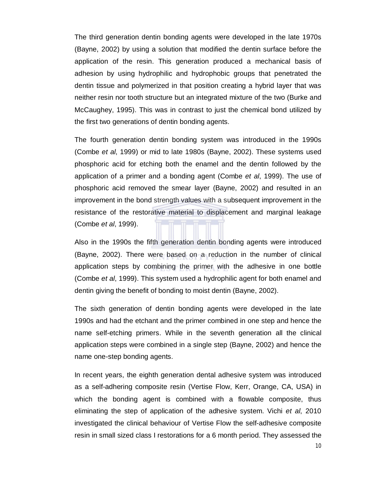The third generation dentin bonding agents were developed in the late 1970s (Bayne, 2002) by using a solution that modified the dentin surface before the application of the resin. This generation produced a mechanical basis of adhesion by using hydrophilic and hydrophobic groups that penetrated the dentin tissue and polymerized in that position creating a hybrid layer that was neither resin nor tooth structure but an integrated mixture of the two (Burke and McCaughey, 1995). This was in contrast to just the chemical bond utilized by the first two generations of dentin bonding agents.

The fourth generation dentin bonding system was introduced in the 1990s (Combe *et al*, 1999) or mid to late 1980s (Bayne, 2002). These systems used phosphoric acid for etching both the enamel and the dentin followed by the application of a primer and a bonding agent (Combe *et al*, 1999). The use of phosphoric acid removed the smear layer (Bayne, 2002) and resulted in an improvement in the bond strength values with a subsequent improvement in the resistance of the restorative material to displacement and marginal leakage (Combe *et al*, 1999).

Also in the 1990s the fifth generation dentin bonding agents were introduced (Bayne, 2002). There were based on a reduction in the number of clinical application steps by combining the primer with the adhesive in one bottle (Combe *et al*, 1999). This system used a hydrophilic agent for both enamel and dentin giving the benefit of bonding to moist dentin (Bayne, 2002).

The sixth generation of dentin bonding agents were developed in the late 1990s and had the etchant and the primer combined in one step and hence the name self-etching primers. While in the seventh generation all the clinical application steps were combined in a single step (Bayne, 2002) and hence the name one-step bonding agents.

In recent years, the eighth generation dental adhesive system was introduced as a self-adhering composite resin (Vertise Flow, Kerr, Orange, CA, USA) in which the bonding agent is combined with a flowable composite, thus eliminating the step of application of the adhesive system. Vichi *et al*, 2010 investigated the clinical behaviour of Vertise Flow the self-adhesive composite resin in small sized class I restorations for a 6 month period. They assessed the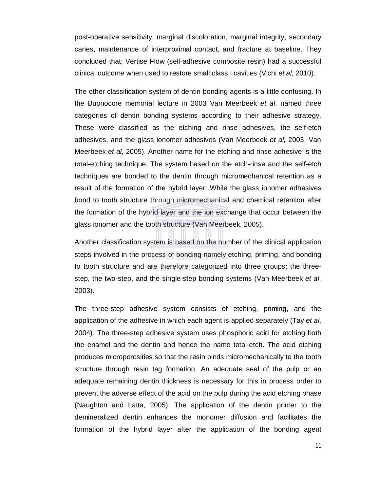post-operative sensitivity, marginal discoloration, marginal integrity, secondary caries, maintenance of interproximal contact, and fracture at baseline. They concluded that; Vertise Flow (self-adhesive composite resin) had a successful clinical outcome when used to restore small class I cavities (Vichi *et al*, 2010).

The other classification system of dentin bonding agents is a little confusing. In the Buonocore memorial lecture in 2003 Van Meerbeek *et al*, named three categories of dentin bonding systems according to their adhesive strategy. These were classified as the etching and rinse adhesives, the self-etch adhesives, and the glass ionomer adhesives (Van Meerbeek *et al*, 2003, Van Meerbeek *et al*, 2005). Another name for the etching and rinse adhesive is the total-etching technique. The system based on the etch-rinse and the self-etch techniques are bonded to the dentin through micromechanical retention as a result of the formation of the hybrid layer. While the glass ionomer adhesives bond to tooth structure through micromechanical and chemical retention after the formation of the hybrid layer and the ion exchange that occur between the glass ionomer and the tooth structure (Van Meerbeek, 2005).

Another classification system is based on the number of the clinical application steps involved in the process of bonding namely etching, priming, and bonding to tooth structure and are therefore categorized into three groups; the threestep, the two-step, and the single-step bonding systems (Van Meerbeek *et al*, 2003).

The three-step adhesive system consists of etching, priming, and the application of the adhesive in which each agent is applied separately (Tay *et al*, 2004). The three-step adhesive system uses phosphoric acid for etching both the enamel and the dentin and hence the name total-etch. The acid etching produces microporosities so that the resin binds micromechanically to the tooth structure through resin tag formation. An adequate seal of the pulp or an adequate remaining dentin thickness is necessary for this in process order to prevent the adverse effect of the acid on the pulp during the acid etching phase (Naughton and Latta, 2005). The application of the dentin primer to the demineralized dentin enhances the monomer diffusion and facilitates the formation of the hybrid layer after the application of the bonding agent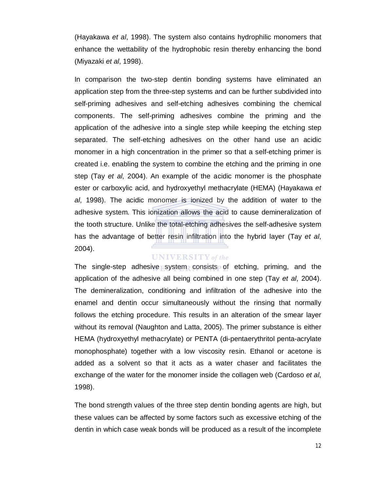(Hayakawa *et al*, 1998). The system also contains hydrophilic monomers that enhance the wettability of the hydrophobic resin thereby enhancing the bond (Miyazaki *et al*, 1998).

In comparison the two-step dentin bonding systems have eliminated an application step from the three-step systems and can be further subdivided into self-priming adhesives and self-etching adhesives combining the chemical components. The self-priming adhesives combine the priming and the application of the adhesive into a single step while keeping the etching step separated. The self-etching adhesives on the other hand use an acidic monomer in a high concentration in the primer so that a self-etching primer is created i.e. enabling the system to combine the etching and the priming in one step (Tay *et al*, 2004). An example of the acidic monomer is the phosphate ester or carboxylic acid, and hydroxyethyl methacrylate (HEMA) (Hayakawa *et al*, 1998). The acidic monomer is ionized by the addition of water to the adhesive system. This ionization allows the acid to cause demineralization of the tooth structure. Unlike the total-etching adhesives the self-adhesive system has the advantage of better resin infiltration into the hybrid layer (Tay *et al*, 2004).

#### **UNIVERSITY** of the

The single-step adhesive system consists of etching, priming, and the application of the adhesive all being combined in one step (Tay *et al*, 2004). The demineralization, conditioning and infiltration of the adhesive into the enamel and dentin occur simultaneously without the rinsing that normally follows the etching procedure. This results in an alteration of the smear layer without its removal (Naughton and Latta, 2005). The primer substance is either HEMA (hydroxyethyl methacrylate) or PENTA (di-pentaerythritol penta-acrylate monophosphate) together with a low viscosity resin. Ethanol or acetone is added as a solvent so that it acts as a water chaser and facilitates the exchange of the water for the monomer inside the collagen web (Cardoso *et al*, 1998).

The bond strength values of the three step dentin bonding agents are high, but these values can be affected by some factors such as excessive etching of the dentin in which case weak bonds will be produced as a result of the incomplete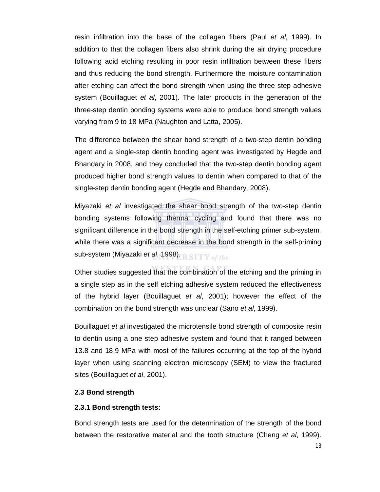resin infiltration into the base of the collagen fibers (Paul *et al*, 1999). In addition to that the collagen fibers also shrink during the air drying procedure following acid etching resulting in poor resin infiltration between these fibers and thus reducing the bond strength. Furthermore the moisture contamination after etching can affect the bond strength when using the three step adhesive system (Bouillaguet *et al*, 2001). The later products in the generation of the three-step dentin bonding systems were able to produce bond strength values varying from 9 to 18 MPa (Naughton and Latta, 2005).

The difference between the shear bond strength of a two-step dentin bonding agent and a single-step dentin bonding agent was investigated by Hegde and Bhandary in 2008, and they concluded that the two-step dentin bonding agent produced higher bond strength values to dentin when compared to that of the single-step dentin bonding agent (Hegde and Bhandary, 2008).

Miyazaki *et al* investigated the shear bond strength of the two-step dentin bonding systems following thermal cycling and found that there was no significant difference in the bond strength in the self-etching primer sub-system, while there was a significant decrease in the bond strength in the self-priming sub-system (Miyazaki et al, 1998). RSITY of the

Other studies suggested that the combination of the etching and the priming in a single step as in the self etching adhesive system reduced the effectiveness of the hybrid layer (Bouillaguet *et al*, 2001); however the effect of the combination on the bond strength was unclear (Sano *et al*, 1999).

Bouillaguet *et al* investigated the microtensile bond strength of composite resin to dentin using a one step adhesive system and found that it ranged between 13.8 and 18.9 MPa with most of the failures occurring at the top of the hybrid layer when using scanning electron microscopy (SEM) to view the fractured sites (Bouillaguet *et al*, 2001).

#### **2.3 Bond strength**

#### **2.3.1 Bond strength tests:**

Bond strength tests are used for the determination of the strength of the bond between the restorative material and the tooth structure (Cheng *et al*, 1999).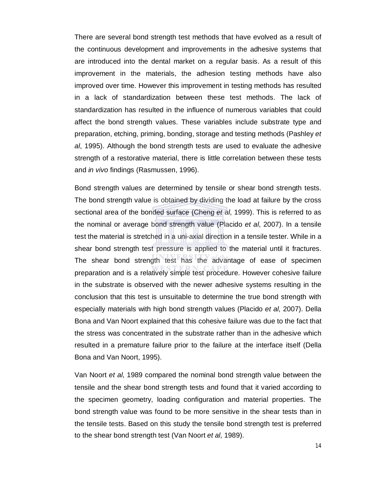There are several bond strength test methods that have evolved as a result of the continuous development and improvements in the adhesive systems that are introduced into the dental market on a regular basis. As a result of this improvement in the materials, the adhesion testing methods have also improved over time. However this improvement in testing methods has resulted in a lack of standardization between these test methods. The lack of standardization has resulted in the influence of numerous variables that could affect the bond strength values. These variables include substrate type and preparation, etching, priming, bonding, storage and testing methods (Pashley *et al*, 1995). Although the bond strength tests are used to evaluate the adhesive strength of a restorative material, there is little correlation between these tests and *in vivo* findings (Rasmussen, 1996).

Bond strength values are determined by tensile or shear bond strength tests. The bond strength value is obtained by dividing the load at failure by the cross sectional area of the bonded surface (Cheng *et al*, 1999). This is referred to as the nominal or average bond strength value (Placido *et al*, 2007). In a tensile test the material is stretched in a uni-axial direction in a tensile tester. While in a shear bond strength test pressure is applied to the material until it fractures. The shear bond strength test has the advantage of ease of specimen preparation and is a relatively simple test procedure. However cohesive failure in the substrate is observed with the newer adhesive systems resulting in the conclusion that this test is unsuitable to determine the true bond strength with especially materials with high bond strength values (Placido *et al*, 2007). Della Bona and Van Noort explained that this cohesive failure was due to the fact that the stress was concentrated in the substrate rather than in the adhesive which resulted in a premature failure prior to the failure at the interface itself (Della Bona and Van Noort, 1995).

Van Noort *et al*, 1989 compared the nominal bond strength value between the tensile and the shear bond strength tests and found that it varied according to the specimen geometry, loading configuration and material properties. The bond strength value was found to be more sensitive in the shear tests than in the tensile tests. Based on this study the tensile bond strength test is preferred to the shear bond strength test (Van Noort *et al*, 1989).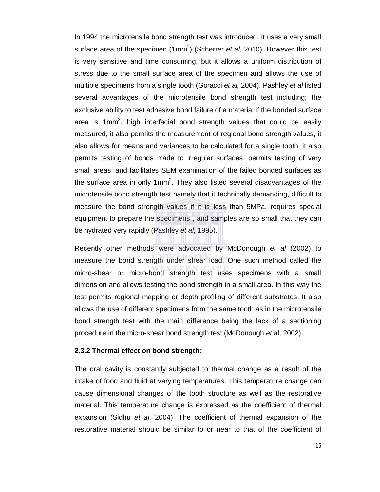In 1994 the microtensile bond strength test was introduced. It uses a very small surface area of the specimen (1mm<sup>2</sup>) (Scherrer *et al*, 2010). However this test is very sensitive and time consuming, but it allows a uniform distribution of stress due to the small surface area of the specimen and allows the use of multiple specimens from a single tooth (Goracci *et al*, 2004). Pashley *et al* listed several advantages of the microtensile bond strength test including; the exclusive ability to test adhesive bond failure of a material if the bonded surface area is 1mm<sup>2</sup>, high interfacial bond strength values that could be easily measured, it also permits the measurement of regional bond strength values, it also allows for means and variances to be calculated for a single tooth, it also permits testing of bonds made to irregular surfaces, permits testing of very small areas, and facilitates SEM examination of the failed bonded surfaces as the surface area in only 1mm<sup>2</sup>. They also listed several disadvantages of the microtensile bond strength test namely that it technically demanding, difficult to measure the bond strength values if it is less than 5MPa, requires special equipment to prepare the specimens , and samples are so small that they can be hydrated very rapidly (Pashley *et al*, 1995).

Recently other methods were advocated by McDonough *et al* (2002) to measure the bond strength under shear load. One such method called the micro-shear or micro-bond strength test uses specimens with a small dimension and allows testing the bond strength in a small area. In this way the test permits regional mapping or depth profiling of different substrates. It also allows the use of different specimens from the same tooth as in the microtensile bond strength test with the main difference being the lack of a sectioning procedure in the micro-shear bond strength test (McDonough *et* al, 2002).

#### **2.3.2 Thermal effect on bond strength:**

The oral cavity is constantly subjected to thermal change as a result of the intake of food and fluid at varying temperatures. This temperature change can cause dimensional changes of the tooth structure as well as the restorative material. This temperature change is expressed as the coefficient of thermal expansion (Sidhu *et al*, 2004). The coefficient of thermal expansion of the restorative material should be similar to or near to that of the coefficient of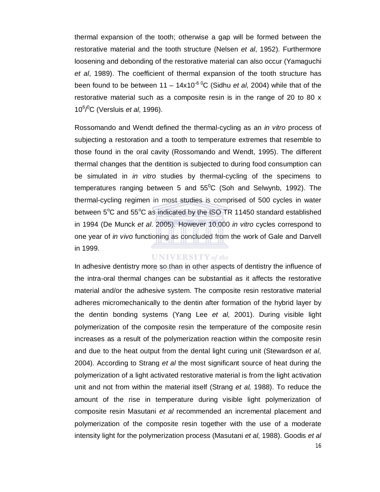thermal expansion of the tooth; otherwise a gap will be formed between the restorative material and the tooth structure (Nelsen *et al*, 1952). Furthermore loosening and debonding of the restorative material can also occur (Yamaguchi *et al*, 1989). The coefficient of thermal expansion of the tooth structure has been found to be between  $11 - 14x10^{-6}$ <sup>o</sup>C (Sidhu *et al*, 2004) while that of the restorative material such as a composite resin is in the range of 20 to 80 x 10<sup>6</sup> / <sup>0</sup>C (Versluis *et al*, 1996).

Rossomando and Wendt defined the thermal-cycling as an *in vitro* process of subjecting a restoration and a tooth to temperature extremes that resemble to those found in the oral cavity (Rossomando and Wendt, 1995). The different thermal changes that the dentition is subjected to during food consumption can be simulated in *in vitro* studies by thermal-cycling of the specimens to temperatures ranging between 5 and  $55^{\circ}$ C (Soh and Selwynb, 1992). The thermal-cycling regimen in most studies is comprised of 500 cycles in water between  $5^{\circ}$ C and  $55^{\circ}$ C as indicated by the ISO TR 11450 standard established in 1994 (De Munck *et al*. 2005). However 10,000 *in vitro* cycles correspond to one year of *in vivo* functioning as concluded from the work of Gale and Darvell in 1999.

#### **UNIVERSITY** of the

In adhesive dentistry more so than in other aspects of dentistry the influence of the intra-oral thermal changes can be substantial as it affects the restorative material and/or the adhesive system. The composite resin restorative material adheres micromechanically to the dentin after formation of the hybrid layer by the dentin bonding systems (Yang Lee *et al*, 2001). During visible light polymerization of the composite resin the temperature of the composite resin increases as a result of the polymerization reaction within the composite resin and due to the heat output from the dental light curing unit (Stewardson *et al*, 2004). According to Strang *et al* the most significant source of heat during the polymerization of a light activated restorative material is from the light activation unit and not from within the material itself (Strang *et al,* 1988). To reduce the amount of the rise in temperature during visible light polymerization of composite resin Masutani *et al* recommended an incremental placement and polymerization of the composite resin together with the use of a moderate intensity light for the polymerization process (Masutani *et al*, 1988). Goodis *et al*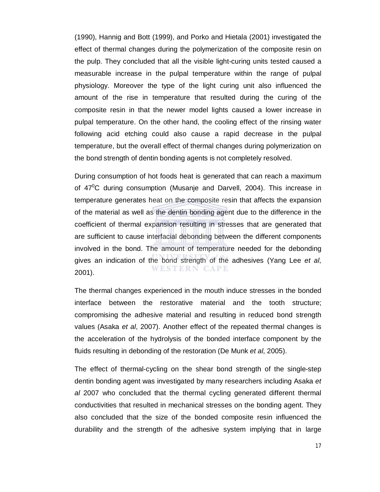(1990), Hannig and Bott (1999), and Porko and Hietala (2001) investigated the effect of thermal changes during the polymerization of the composite resin on the pulp. They concluded that all the visible light-curing units tested caused a measurable increase in the pulpal temperature within the range of pulpal physiology. Moreover the type of the light curing unit also influenced the amount of the rise in temperature that resulted during the curing of the composite resin in that the newer model lights caused a lower increase in pulpal temperature. On the other hand, the cooling effect of the rinsing water following acid etching could also cause a rapid decrease in the pulpal temperature, but the overall effect of thermal changes during polymerization on the bond strength of dentin bonding agents is not completely resolved.

During consumption of hot foods heat is generated that can reach a maximum of  $47^{\circ}$ C during consumption (Musanje and Darvell, 2004). This increase in temperature generates heat on the composite resin that affects the expansion of the material as well as the dentin bonding agent due to the difference in the coefficient of thermal expansion resulting in stresses that are generated that are sufficient to cause interfacial debonding between the different components involved in the bond. The amount of temperature needed for the debonding gives an indication of the bond strength of the adhesives (Yang Lee *et al*, WESTERN CAPE 2001).

The thermal changes experienced in the mouth induce stresses in the bonded interface between the restorative material and the tooth structure; compromising the adhesive material and resulting in reduced bond strength values (Asaka *et al*, 2007). Another effect of the repeated thermal changes is the acceleration of the hydrolysis of the bonded interface component by the fluids resulting in debonding of the restoration (De Munk *et al*, 2005).

The effect of thermal-cycling on the shear bond strength of the single-step dentin bonding agent was investigated by many researchers including Asaka *et al* 2007 who concluded that the thermal cycling generated different thermal conductivities that resulted in mechanical stresses on the bonding agent. They also concluded that the size of the bonded composite resin influenced the durability and the strength of the adhesive system implying that in large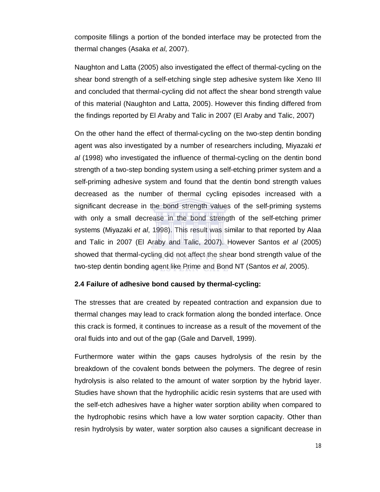composite fillings a portion of the bonded interface may be protected from the thermal changes (Asaka *et al*, 2007).

Naughton and Latta (2005) also investigated the effect of thermal-cycling on the shear bond strength of a self-etching single step adhesive system like Xeno III and concluded that thermal-cycling did not affect the shear bond strength value of this material (Naughton and Latta, 2005). However this finding differed from the findings reported by El Araby and Talic in 2007 (El Araby and Talic, 2007)

On the other hand the effect of thermal-cycling on the two-step dentin bonding agent was also investigated by a number of researchers including, Miyazaki *et al* (1998) who investigated the influence of thermal-cycling on the dentin bond strength of a two-step bonding system using a self-etching primer system and a self-priming adhesive system and found that the dentin bond strength values decreased as the number of thermal cycling episodes increased with a significant decrease in the bond strength values of the self-priming systems with only a small decrease in the bond strength of the self-etching primer systems (Miyazaki *et al*, 1998). This result was similar to that reported by Alaa and Talic in 2007 (El Araby and Talic, 2007). However Santos *et al* (2005) showed that thermal-cycling did not affect the shear bond strength value of the two-step dentin bonding agent like Prime and Bond NT (Santos *et al*, 2005).

#### **2.4 Failure of adhesive bond caused by thermal-cycling:**

The stresses that are created by repeated contraction and expansion due to thermal changes may lead to crack formation along the bonded interface. Once this crack is formed, it continues to increase as a result of the movement of the oral fluids into and out of the gap (Gale and Darvell, 1999).

Furthermore water within the gaps causes hydrolysis of the resin by the breakdown of the covalent bonds between the polymers. The degree of resin hydrolysis is also related to the amount of water sorption by the hybrid layer. Studies have shown that the hydrophilic acidic resin systems that are used with the self-etch adhesives have a higher water sorption ability when compared to the hydrophobic resins which have a low water sorption capacity. Other than resin hydrolysis by water, water sorption also causes a significant decrease in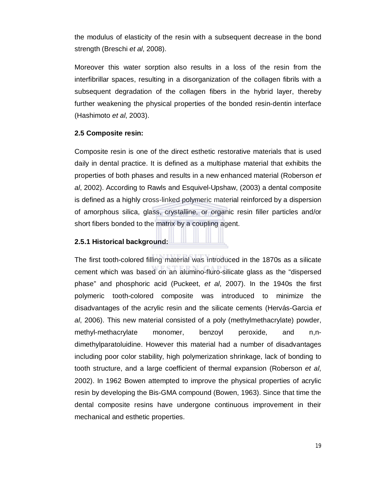the modulus of elasticity of the resin with a subsequent decrease in the bond strength (Breschi *et al*, 2008).

Moreover this water sorption also results in a loss of the resin from the interfibrillar spaces, resulting in a disorganization of the collagen fibrils with a subsequent degradation of the collagen fibers in the hybrid layer, thereby further weakening the physical properties of the bonded resin-dentin interface (Hashimoto *et al*, 2003).

#### **2.5 Composite resin:**

Composite resin is one of the direct esthetic restorative materials that is used daily in dental practice. It is defined as a multiphase material that exhibits the properties of both phases and results in a new enhanced material (Roberson *et al*, 2002). According to Rawls and Esquivel-Upshaw, (2003) a dental composite is defined as a highly cross-linked polymeric material reinforced by a dispersion of amorphous silica, glass, crystalline, or organic resin filler particles and/or short fibers bonded to the matrix by a coupling agent.

#### **2.5.1 Historical background:**

The first tooth-colored filling material was introduced in the 1870s as a silicate cement which was based on an alumino-fluro-silicate glass as the "dispersed phase" and phosphoric acid (Puckeet, *et al*, 2007). In the 1940s the first polymeric tooth-colored composite was introduced to minimize the disadvantages of the acrylic resin and the silicate cements (Hervás-Garcia *et al*, 2006). This new material consisted of a poly (methylmethacrylate) powder, methyl-methacrylate monomer, benzoyl peroxide, and n,ndimethylparatoluidine. However this material had a number of disadvantages including poor color stability, high polymerization shrinkage, lack of bonding to tooth structure, and a large coefficient of thermal expansion (Roberson *et al*, 2002). In 1962 Bowen attempted to improve the physical properties of acrylic resin by developing the Bis-GMA compound (Bowen, 1963). Since that time the dental composite resins have undergone continuous improvement in their mechanical and esthetic properties.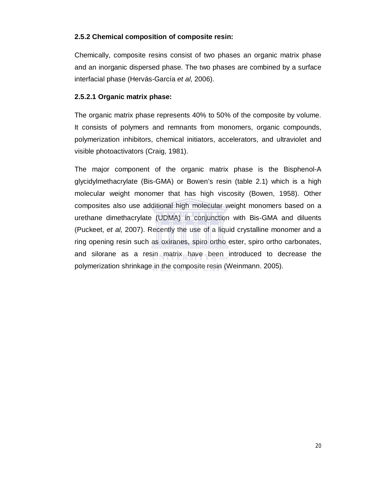## **2.5.2 Chemical composition of composite resin:**

Chemically, composite resins consist of two phases an organic matrix phase and an inorganic dispersed phase. The two phases are combined by a surface interfacial phase (Hervás-García *et al*, 2006).

## **2.5.2.1 Organic matrix phase:**

The organic matrix phase represents 40% to 50% of the composite by volume. It consists of polymers and remnants from monomers, organic compounds, polymerization inhibitors, chemical initiators, accelerators, and ultraviolet and visible photoactivators (Craig, 1981).

The major component of the organic matrix phase is the Bisphenol-A glycidylmethacrylate (Bis-GMA) or Bowen's resin (table 2.1) which is a high molecular weight monomer that has high viscosity (Bowen, 1958). Other composites also use additional high molecular weight monomers based on a urethane dimethacrylate (UDMA) in conjunction with Bis-GMA and diluents (Puckeet, *et al*, 2007). Recently the use of a liquid crystalline monomer and a ring opening resin such as oxiranes, spiro ortho ester, spiro ortho carbonates, and silorane as a resin matrix have been introduced to decrease the polymerization shrinkage in the composite resin (Weinmann. 2005).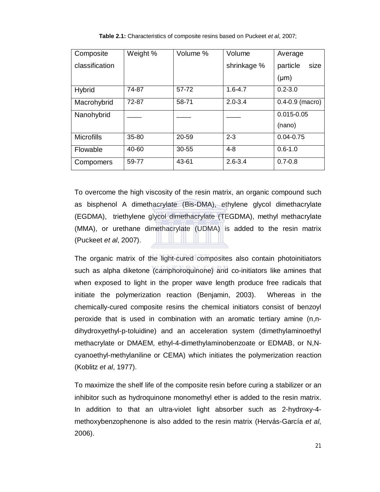| Composite         | Weight %  | Volume %  | Volume      | Average             |  |
|-------------------|-----------|-----------|-------------|---------------------|--|
| classification    |           |           | shrinkage % | particle<br>size    |  |
|                   |           |           |             | $(\mu m)$           |  |
| <b>Hybrid</b>     | 74-87     | 57-72     | $1.6 - 4.7$ | $0.2 - 3.0$         |  |
| Macrohybrid       | 72-87     | 58-71     | $2.0 - 3.4$ | $0.4 - 0.9$ (macro) |  |
| Nanohybrid        |           |           |             | $0.015 - 0.05$      |  |
|                   |           |           |             | (nano)              |  |
| <b>Microfills</b> | $35 - 80$ | 20-59     | $2 - 3$     | $0.04 - 0.75$       |  |
| Flowable          | 40-60     | $30 - 55$ | $4 - 8$     | $0.6 - 1.0$         |  |
| Compomers         | 59-77     | 43-61     | $2.6 - 3.4$ | $0.7 - 0.8$         |  |

**Table 2.1:** Characteristics of composite resins based on Puckeet *et al*, 2007;

To overcome the high viscosity of the resin matrix, an organic compound such as bisphenol A dimethacrylate (Bis-DMA), ethylene glycol dimethacrylate (EGDMA), triethylene glycol dimethacrylate (TEGDMA), methyl methacrylate (MMA), or urethane dimethacrylate (UDMA) is added to the resin matrix (Puckeet *et al*, 2007).

The organic matrix of the light-cured composites also contain photoinitiators such as alpha diketone (camphoroquinone) and co-initiators like amines that when exposed to light in the proper wave length produce free radicals that initiate the polymerization reaction (Benjamin, 2003). Whereas in the chemically-cured composite resins the chemical initiators consist of benzoyl peroxide that is used in combination with an aromatic tertiary amine (n,ndihydroxyethyl-p-toluidine) and an acceleration system (dimethylaminoethyl methacrylate or DMAEM, ethyl-4-dimethylaminobenzoate or EDMAB, or N,Ncyanoethyl-methylaniline or CEMA) which initiates the polymerization reaction (Koblitz *et al*, 1977).

To maximize the shelf life of the composite resin before curing a stabilizer or an inhibitor such as hydroquinone monomethyl ether is added to the resin matrix. In addition to that an ultra-violet light absorber such as 2-hydroxy-4 methoxybenzophenone is also added to the resin matrix (Hervás-García *et al*, 2006).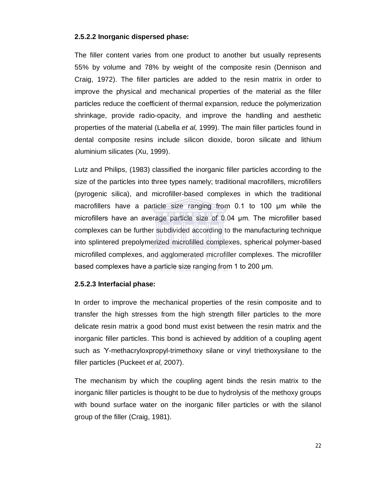#### **2.5.2.2 Inorganic dispersed phase:**

The filler content varies from one product to another but usually represents 55% by volume and 78% by weight of the composite resin (Dennison and Craig, 1972). The filler particles are added to the resin matrix in order to improve the physical and mechanical properties of the material as the filler particles reduce the coefficient of thermal expansion, reduce the polymerization shrinkage, provide radio-opacity, and improve the handling and aesthetic properties of the material (Labella *et al*, 1999). The main filler particles found in dental composite resins include silicon dioxide, boron silicate and lithium aluminium silicates (Xu, 1999).

Lutz and Philips, (1983) classified the inorganic filler particles according to the size of the particles into three types namely; traditional macrofillers, microfillers (pyrogenic silica), and microfiller-based complexes in which the traditional macrofillers have a particle size ranging from 0.1 to 100 µm while the microfillers have an average particle size of 0.04 µm. The microfiller based complexes can be further subdivided according to the manufacturing technique into splintered prepolymerized microfilled complexes, spherical polymer-based microfilled complexes, and agglomerated microfiller complexes. The microfiller based complexes have a particle size ranging from 1 to 200 µm.

#### **2.5.2.3 Interfacial phase:**

In order to improve the mechanical properties of the resin composite and to transfer the high stresses from the high strength filler particles to the more delicate resin matrix a good bond must exist between the resin matrix and the inorganic filler particles. This bond is achieved by addition of a coupling agent such as Ƴ-methacryloxpropyl-trimethoxy silane or vinyl triethoxysilane to the filler particles (Puckeet *et al*, 2007).

The mechanism by which the coupling agent binds the resin matrix to the inorganic filler particles is thought to be due to hydrolysis of the methoxy groups with bound surface water on the inorganic filler particles or with the silanol group of the filler (Craig, 1981).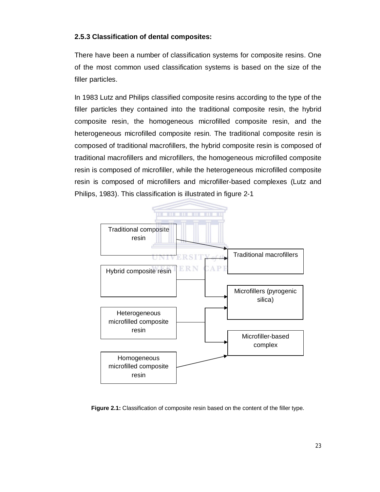## **2.5.3 Classification of dental composites:**

There have been a number of classification systems for composite resins. One of the most common used classification systems is based on the size of the filler particles.

In 1983 Lutz and Philips classified composite resins according to the type of the filler particles they contained into the traditional composite resin, the hybrid composite resin, the homogeneous microfilled composite resin, and the heterogeneous microfilled composite resin. The traditional composite resin is composed of traditional macrofillers, the hybrid composite resin is composed of traditional macrofillers and microfillers, the homogeneous microfilled composite resin is composed of microfiller, while the heterogeneous microfilled composite resin is composed of microfillers and microfiller-based complexes (Lutz and Philips, 1983). This classification is illustrated in figure 2-1



**Figure 2.1:** Classification of composite resin based on the content of the filler type.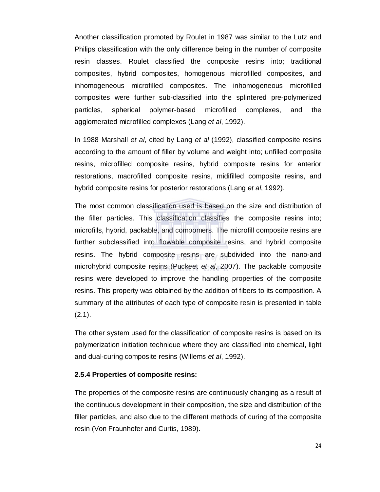Another classification promoted by Roulet in 1987 was similar to the Lutz and Philips classification with the only difference being in the number of composite resin classes. Roulet classified the composite resins into; traditional composites, hybrid composites, homogenous microfilled composites, and inhomogeneous microfilled composites. The inhomogeneous microfilled composites were further sub-classified into the splintered pre-polymerized particles, spherical polymer-based microfilled complexes, and the agglomerated microfilled complexes (Lang *et al*, 1992).

In 1988 Marshall *et al*, cited by Lang *et al* (1992), classified composite resins according to the amount of filler by volume and weight into; unfilled composite resins, microfilled composite resins, hybrid composite resins for anterior restorations, macrofilled composite resins, midifilled composite resins, and hybrid composite resins for posterior restorations (Lang *et al*, 1992).

The most common classification used is based on the size and distribution of the filler particles. This classification classifies the composite resins into; microfills, hybrid, packable, and compomers. The microfill composite resins are further subclassified into flowable composite resins, and hybrid composite resins. The hybrid composite resins are subdivided into the nano-and microhybrid composite resins (Puckeet *et al*, 2007). The packable composite resins were developed to improve the handling properties of the composite resins. This property was obtained by the addition of fibers to its composition. A summary of the attributes of each type of composite resin is presented in table  $(2.1).$ 

The other system used for the classification of composite resins is based on its polymerization initiation technique where they are classified into chemical, light and dual-curing composite resins (Willems *et al*, 1992).

#### **2.5.4 Properties of composite resins:**

The properties of the composite resins are continuously changing as a result of the continuous development in their composition, the size and distribution of the filler particles, and also due to the different methods of curing of the composite resin (Von Fraunhofer and Curtis, 1989).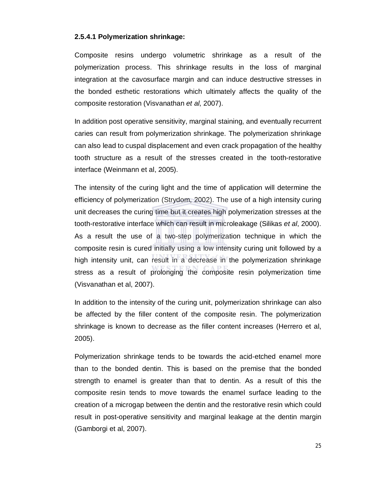#### **2.5.4.1 Polymerization shrinkage:**

Composite resins undergo volumetric shrinkage as a result of the polymerization process. This shrinkage results in the loss of marginal integration at the cavosurface margin and can induce destructive stresses in the bonded esthetic restorations which ultimately affects the quality of the composite restoration (Visvanathan *et al*, 2007).

In addition post operative sensitivity, marginal staining, and eventually recurrent caries can result from polymerization shrinkage. The polymerization shrinkage can also lead to cuspal displacement and even crack propagation of the healthy tooth structure as a result of the stresses created in the tooth-restorative interface (Weinmann et al, 2005).

The intensity of the curing light and the time of application will determine the efficiency of polymerization (Strydom, 2002). The use of a high intensity curing unit decreases the curing time but it creates high polymerization stresses at the tooth-restorative interface which can result in microleakage (Silikas *et al*, 2000). As a result the use of a two-step polymerization technique in which the composite resin is cured initially using a low intensity curing unit followed by a high intensity unit, can result in a decrease in the polymerization shrinkage stress as a result of prolonging the composite resin polymerization time (Visvanathan et al, 2007).

In addition to the intensity of the curing unit, polymerization shrinkage can also be affected by the filler content of the composite resin. The polymerization shrinkage is known to decrease as the filler content increases (Herrero et al, 2005).

Polymerization shrinkage tends to be towards the acid-etched enamel more than to the bonded dentin. This is based on the premise that the bonded strength to enamel is greater than that to dentin. As a result of this the composite resin tends to move towards the enamel surface leading to the creation of a microgap between the dentin and the restorative resin which could result in post-operative sensitivity and marginal leakage at the dentin margin (Gamborgi et al, 2007).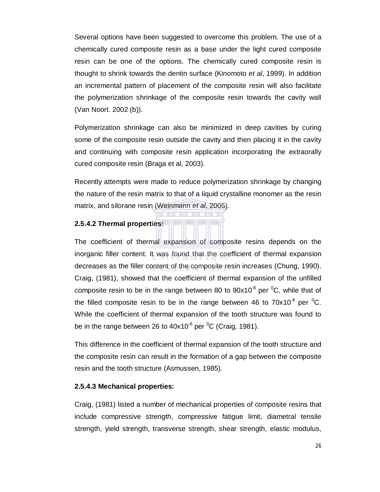Several options have been suggested to overcome this problem. The use of a chemically cured composite resin as a base under the light cured composite resin can be one of the options. The chemically cured composite resin is thought to shrink towards the dentin surface (Kinomoto *et al*, 1999). In addition an incremental pattern of placement of the composite resin will also facilitate the polymerization shrinkage of the composite resin towards the cavity wall (Van Noort. 2002 (b)).

Polymerization shrinkage can also be minimized in deep cavities by curing some of the composite resin outside the cavity and then placing it in the cavity and continuing with composite resin application incorporating the extraorally cured composite resin (Braga et al, 2003).

Recently attempts were made to reduce polymerization shrinkage by changing the nature of the resin matrix to that of a liquid crystalline monomer as the resin matrix, and silorane resin (Weinmann *et al*, 2005).

#### **2.5.4.2 Thermal properties:**

The coefficient of thermal expansion of composite resins depends on the inorganic filler content. It was found that the coefficient of thermal expansion decreases as the filler content of the composite resin increases (Chung, 1990). Craig, (1981), showed that the coefficient of thermal expansion of the unfilled composite resin to be in the range between 80 to  $90x10^{-6}$  per  ${}^{0}C$ , while that of the filled composite resin to be in the range between 46 to  $70x10^{-6}$  per <sup>0</sup>C. While the coefficient of thermal expansion of the tooth structure was found to be in the range between 26 to 40x10<sup>-6</sup> per <sup>0</sup>C (Craig, 1981).

This difference in the coefficient of thermal expansion of the tooth structure and the composite resin can result in the formation of a gap between the composite resin and the tooth structure (Asmussen, 1985).

#### **2.5.4.3 Mechanical properties:**

Craig, (1981) listed a number of mechanical properties of composite resins that include compressive strength, compressive fatigue limit, diametral tensile strength, yield strength, transverse strength, shear strength, elastic modulus,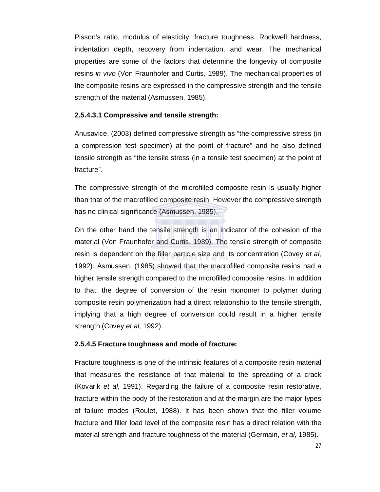Pisson's ratio, modulus of elasticity, fracture toughness, Rockwell hardness, indentation depth, recovery from indentation, and wear. The mechanical properties are some of the factors that determine the longevity of composite resins *in vivo* (Von Fraunhofer and Curtis, 1989). The mechanical properties of the composite resins are expressed in the compressive strength and the tensile strength of the material (Asmussen, 1985).

#### **2.5.4.3.1 Compressive and tensile strength:**

Anusavice, (2003) defined compressive strength as "the compressive stress (in a compression test specimen) at the point of fracture" and he also defined tensile strength as "the tensile stress (in a tensile test specimen) at the point of fracture".

The compressive strength of the microfilled composite resin is usually higher than that of the macrofilled composite resin. However the compressive strength has no clinical significance (Asmussen, 1985).

On the other hand the tensile strength is an indicator of the cohesion of the material (Von Fraunhofer and Curtis, 1989). The tensile strength of composite resin is dependent on the filler particle size and its concentration (Covey *et al*, 1992). Asmussen, (1985) showed that the macrofilled composite resins had a higher tensile strength compared to the microfilled composite resins. In addition to that, the degree of conversion of the resin monomer to polymer during composite resin polymerization had a direct relationship to the tensile strength, implying that a high degree of conversion could result in a higher tensile strength (Covey *et al*, 1992).

#### **2.5.4.5 Fracture toughness and mode of fracture:**

Fracture toughness is one of the intrinsic features of a composite resin material that measures the resistance of that material to the spreading of a crack (Kovarik *et al*, 1991). Regarding the failure of a composite resin restorative, fracture within the body of the restoration and at the margin are the major types of failure modes (Roulet, 1988). It has been shown that the filler volume fracture and filler load level of the composite resin has a direct relation with the material strength and fracture toughness of the material (Germain, *et al*, 1985).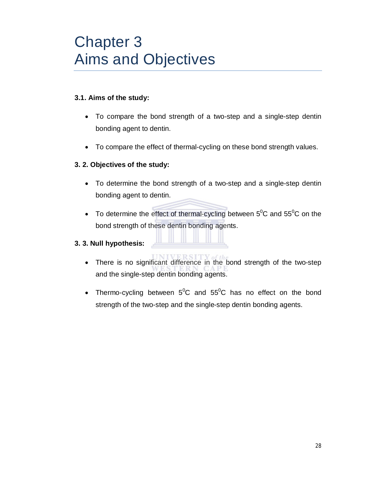# Chapter 3 Aims and Objectives

#### **3.1. Aims of the study:**

- To compare the bond strength of a two-step and a single-step dentin bonding agent to dentin.
- To compare the effect of thermal-cycling on these bond strength values.

#### **3. 2. Objectives of the study:**

- To determine the bond strength of a two-step and a single-step dentin bonding agent to dentin.
- To determine the effect of thermal-cycling between  $5^0C$  and  $55^0C$  on the bond strength of these dentin bonding agents.

#### **3. 3. Null hypothesis:**

- There is no significant difference in the bond strength of the two-step and the single-step dentin bonding agents.
- Thermo-cycling between  $5^0C$  and  $55^0C$  has no effect on the bond strength of the two-step and the single-step dentin bonding agents.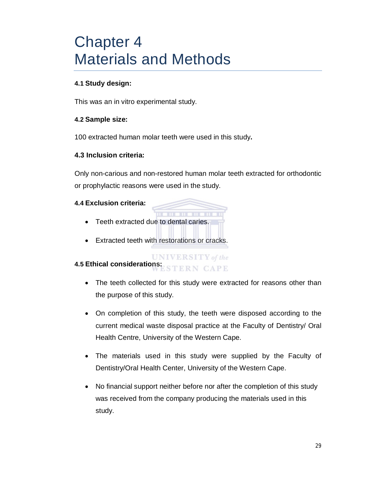# Chapter 4 Materials and Methods

#### **4.1 Study design:**

This was an in vitro experimental study.

#### **4.2 Sample size:**

100 extracted human molar teeth were used in this study**.**

#### **4.3 Inclusion criteria:**

Only non-carious and non-restored human molar teeth extracted for orthodontic or prophylactic reasons were used in the study.

#### **4.4 Exclusion criteria:**

- Teeth extracted due to dental caries.
- Extracted teeth with restorations or cracks.

#### **UNIVERSITY** of the **4.5 Ethical considerations: STERN CAPE**

- The teeth collected for this study were extracted for reasons other than the purpose of this study.
- On completion of this study, the teeth were disposed according to the current medical waste disposal practice at the Faculty of Dentistry/ Oral Health Centre, University of the Western Cape.
- The materials used in this study were supplied by the Faculty of Dentistry/Oral Health Center, University of the Western Cape.
- No financial support neither before nor after the completion of this study was received from the company producing the materials used in this study.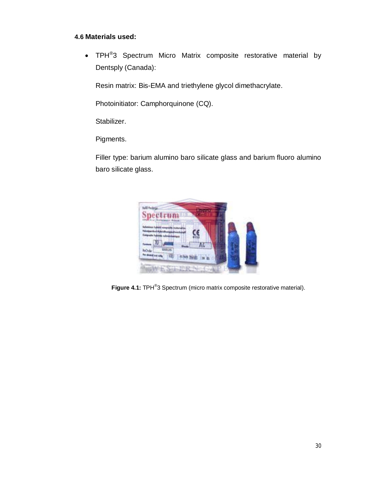#### **4.6 Materials used:**

• TPH<sup>®</sup>3 Spectrum Micro Matrix composite restorative material by Dentsply (Canada):

Resin matrix: Bis-EMA and triethylene glycol dimethacrylate.

Photoinitiator: Camphorquinone (CQ).

Stabilizer.

Pigments.

Filler type: barium alumino baro silicate glass and barium fluoro alumino baro silicate glass.



Figure 4.1: TPH<sup>®</sup>3 Spectrum (micro matrix composite restorative material).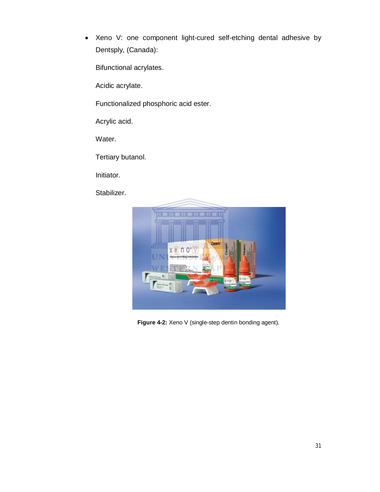Xeno V: one component light-cured self-etching dental adhesive by Dentsply, (Canada):

Bifunctional acrylates.

Acidic acrylate.

Functionalized phosphoric acid ester.

Acrylic acid.

Water.

Tertiary butanol.

Initiator.

Stabilizer.



Figure 4-2: Xeno V (single-step dentin bonding agent).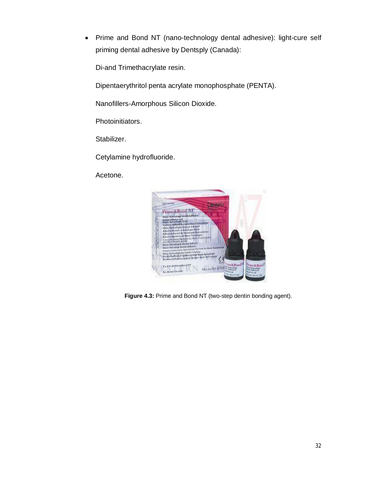Prime and Bond NT (nano-technology dental adhesive): light-cure self priming dental adhesive by Dentsply (Canada):

Di-and Trimethacrylate resin.

Dipentaerythritol penta acrylate monophosphate (PENTA).

Nanofillers-Amorphous Silicon Dioxide.

Photoinitiators.

Stabilizer.

Cetylamine hydrofluoride.

Acetone.



**Figure 4.3:** Prime and Bond NT (two-step dentin bonding agent).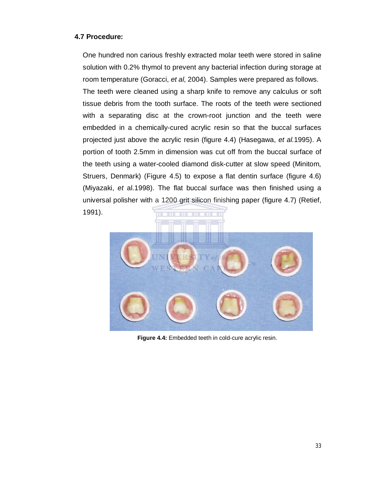#### **4.7 Procedure:**

One hundred non carious freshly extracted molar teeth were stored in saline solution with 0.2% thymol to prevent any bacterial infection during storage at room temperature (Goracci, *et al*, 2004). Samples were prepared as follows. The teeth were cleaned using a sharp knife to remove any calculus or soft tissue debris from the tooth surface. The roots of the teeth were sectioned with a separating disc at the crown-root junction and the teeth were embedded in a chemically-cured acrylic resin so that the buccal surfaces projected just above the acrylic resin (figure 4.4) (Hasegawa, *et al.*1995). A portion of tooth 2.5mm in dimension was cut off from the buccal surface of the teeth using a water-cooled diamond disk-cutter at slow speed (Minitom, Struers, Denmark) (Figure 4.5) to expose a flat dentin surface (figure 4.6) (Miyazaki, *et* al.1998). The flat buccal surface was then finished using a universal polisher with a 1200 grit silicon finishing paper (figure 4.7) (Retief, 1991).

**Figure 4.4:** Embedded teeth in cold-cure acrylic resin.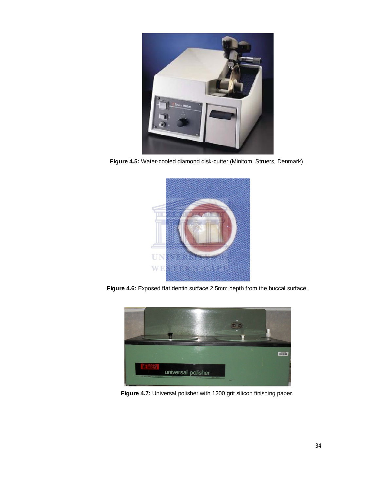

**Figure 4.5:** Water-cooled diamond disk-cutter (Minitom, Struers, Denmark).



**Figure 4.6:** Exposed flat dentin surface 2.5mm depth from the buccal surface.



**Figure 4.7:** Universal polisher with 1200 grit silicon finishing paper.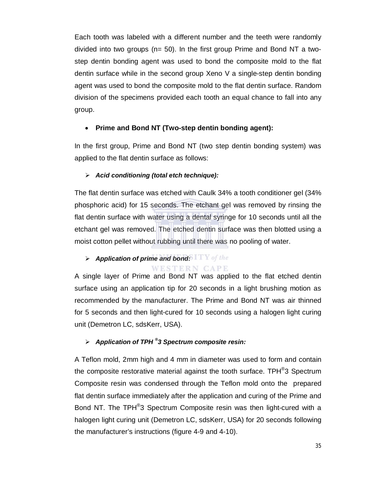Each tooth was labeled with a different number and the teeth were randomly divided into two groups (n= 50). In the first group Prime and Bond NT a twostep dentin bonding agent was used to bond the composite mold to the flat dentin surface while in the second group Xeno V a single-step dentin bonding agent was used to bond the composite mold to the flat dentin surface. Random division of the specimens provided each tooth an equal chance to fall into any group.

#### **Prime and Bond NT (Two-step dentin bonding agent):**

In the first group, Prime and Bond NT (two step dentin bonding system) was applied to the flat dentin surface as follows:

#### *Acid conditioning (total etch technique):*

The flat dentin surface was etched with Caulk 34% a tooth conditioner gel (34% phosphoric acid) for 15 seconds. The etchant gel was removed by rinsing the flat dentin surface with water using a dental syringe for 10 seconds until all the etchant gel was removed. The etched dentin surface was then blotted using a moist cotton pellet without rubbing until there was no pooling of water.

#### *Application of prime and bond:* **WESTERN CAPE**

A single layer of Prime and Bond NT was applied to the flat etched dentin surface using an application tip for 20 seconds in a light brushing motion as recommended by the manufacturer. The Prime and Bond NT was air thinned for 5 seconds and then light-cured for 10 seconds using a halogen light curing unit (Demetron LC, sdsKerr, USA).

#### *Application of TPH ® 3 Spectrum composite resin:*

A Teflon mold, 2mm high and 4 mm in diameter was used to form and contain the composite restorative material against the tooth surface. TPH<sup>®</sup>3 Spectrum Composite resin was condensed through the Teflon mold onto the prepared flat dentin surface immediately after the application and curing of the Prime and Bond NT. The TPH<sup>®</sup>3 Spectrum Composite resin was then light-cured with a halogen light curing unit (Demetron LC, sdsKerr, USA) for 20 seconds following the manufacturer's instructions (figure 4-9 and 4-10).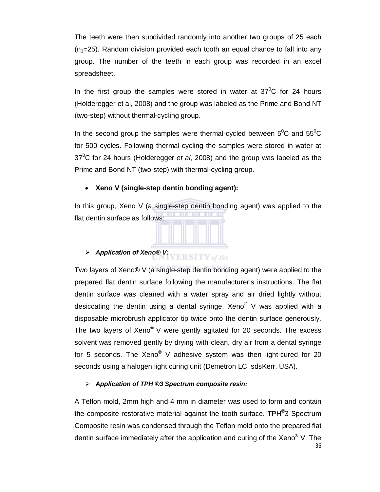The teeth were then subdivided randomly into another two groups of 25 each  $(n<sub>1</sub>=25)$ . Random division provided each tooth an equal chance to fall into any group. The number of the teeth in each group was recorded in an excel spreadsheet.

In the first group the samples were stored in water at  $37^{\circ}$ C for 24 hours (Holderegger et al, 2008) and the group was labeled as the Prime and Bond NT (two-step) without thermal-cycling group.

In the second group the samples were thermal-cycled between  $5^0C$  and  $55^0C$ for 500 cycles. Following thermal-cycling the samples were stored in water at 37<sup>0</sup>C for 24 hours (Holderegger *et al*, 2008) and the group was labeled as the Prime and Bond NT (two-step) with thermal-cycling group.

#### **Xeno V (single-step dentin bonding agent):**

In this group, Xeno V (a single-step dentin bonding agent) was applied to the flat dentin surface as follows:



 *Application of Xeno® V:* **ERSITY** of the

Two layers of Xeno® V (a single-step dentin bonding agent) were applied to the prepared flat dentin surface following the manufacturer's instructions. The flat dentin surface was cleaned with a water spray and air dried lightly without desiccating the dentin using a dental syringe. Xeno<sup>®</sup> V was applied with a disposable microbrush applicator tip twice onto the dentin surface generously. The two layers of Xeno<sup>®</sup> V were gently agitated for 20 seconds. The excess solvent was removed gently by drying with clean, dry air from a dental syringe for 5 seconds. The Xeno<sup>®</sup> V adhesive system was then light-cured for 20 seconds using a halogen light curing unit (Demetron LC, sdsKerr, USA).

#### *Application of TPH ®3 Spectrum composite resin:*

36 A Teflon mold, 2mm high and 4 mm in diameter was used to form and contain the composite restorative material against the tooth surface. TPH<sup>®</sup>3 Spectrum Composite resin was condensed through the Teflon mold onto the prepared flat dentin surface immediately after the application and curing of the Xeno<sup>®</sup> V. The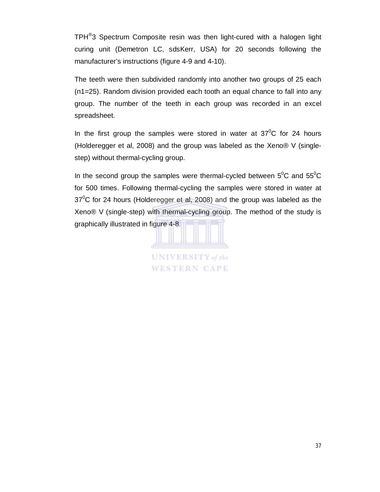TPH<sup>®</sup>3 Spectrum Composite resin was then light-cured with a halogen light curing unit (Demetron LC, sdsKerr, USA) for 20 seconds following the manufacturer's instructions (figure 4-9 and 4-10).

The teeth were then subdivided randomly into another two groups of 25 each (n1=25). Random division provided each tooth an equal chance to fall into any group. The number of the teeth in each group was recorded in an excel spreadsheet.

In the first group the samples were stored in water at  $37^{\circ}$ C for 24 hours (Holderegger et al, 2008) and the group was labeled as the Xeno® V (singlestep) without thermal-cycling group.

In the second group the samples were thermal-cycled between  $5^0C$  and  $55^0C$ for 500 times. Following thermal-cycling the samples were stored in water at  $37^{\circ}$ C for 24 hours (Holderegger et al, 2008) and the group was labeled as the Xeno® V (single-step) with thermal-cycling group. The method of the study is graphically illustrated in figure 4-8.

**UNIVERSITY** of the WESTERN CAPE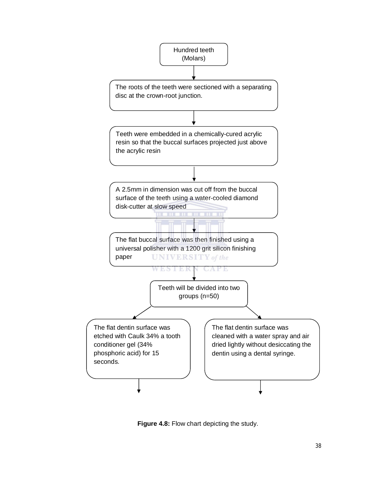

**Figure 4.8:** Flow chart depicting the study.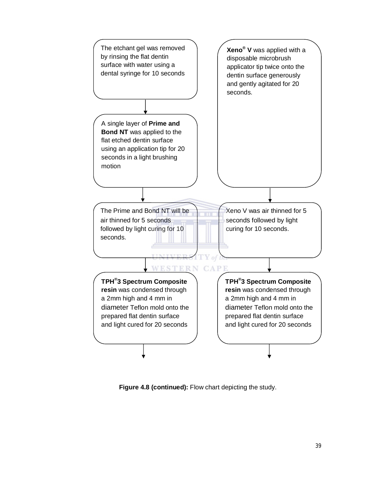

**Figure 4.8 (continued):** Flow chart depicting the study.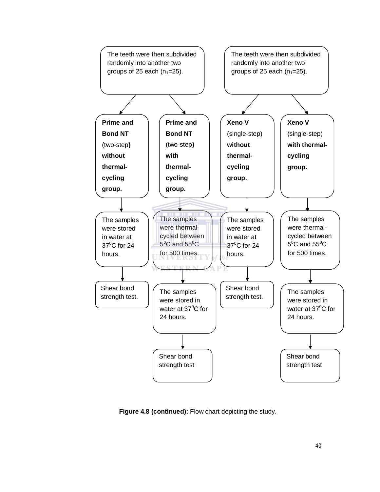

**Figure 4.8 (continued):** Flow chart depicting the study.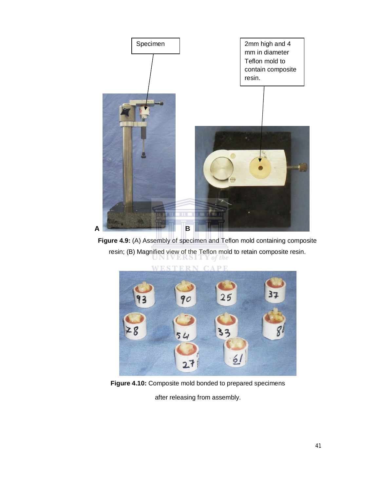

**Figure 4.9:** (A) Assembly of specimen and Teflon mold containing composite resin; (B) Magnified view of the Teflon mold to retain composite resin.



**Figure 4.10:** Composite mold bonded to prepared specimens

after releasing from assembly.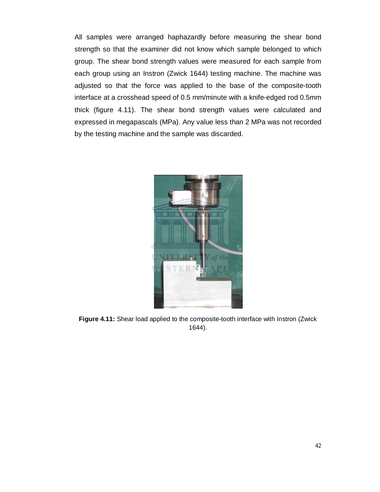All samples were arranged haphazardly before measuring the shear bond strength so that the examiner did not know which sample belonged to which group. The shear bond strength values were measured for each sample from each group using an Instron (Zwick 1644) testing machine. The machine was adjusted so that the force was applied to the base of the composite-tooth interface at a crosshead speed of 0.5 mm/minute with a knife-edged rod 0.5mm thick (figure 4.11). The shear bond strength values were calculated and expressed in megapascals (MPa). Any value less than 2 MPa was not recorded by the testing machine and the sample was discarded.



**Figure 4.11:** Shear load applied to the composite-tooth interface with Instron (Zwick 1644).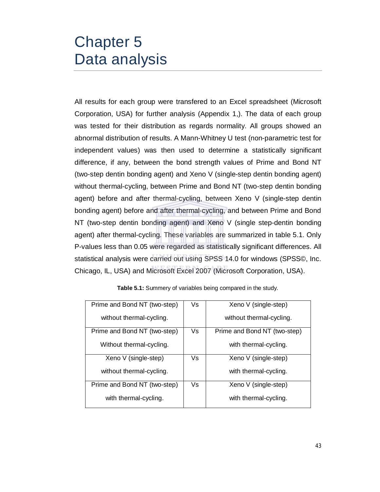## Chapter 5 Data analysis

All results for each group were transfered to an Excel spreadsheet (Microsoft Corporation, USA) for further analysis (Appendix 1,). The data of each group was tested for their distribution as regards normality. All groups showed an abnormal distribution of results. A Mann-Whitney U test (non-parametric test for independent values) was then used to determine a statistically significant difference, if any, between the bond strength values of Prime and Bond NT (two-step dentin bonding agent) and Xeno V (single-step dentin bonding agent) without thermal-cycling, between Prime and Bond NT (two-step dentin bonding agent) before and after thermal-cycling, between Xeno V (single-step dentin bonding agent) before and after thermal-cycling, and between Prime and Bond NT (two-step dentin bonding agent) and Xeno V (single step-dentin bonding agent) after thermal-cycling. These variables are summarized in table 5.1. Only P-values less than 0.05 were regarded as statistically significant differences. All statistical analysis were carried out using SPSS 14.0 for windows (SPSS©, Inc. Chicago, IL, USA) and Microsoft Excel 2007 (Microsoft Corporation, USA).

| Prime and Bond NT (two-step) | Vs | Xeno V (single-step)         |
|------------------------------|----|------------------------------|
| without thermal-cycling.     |    | without thermal-cycling.     |
| Prime and Bond NT (two-step) | Vs | Prime and Bond NT (two-step) |
| Without thermal-cycling.     |    | with thermal-cycling.        |
| Xeno V (single-step)         | Vs | Xeno V (single-step)         |
| without thermal-cycling.     |    | with thermal-cycling.        |
| Prime and Bond NT (two-step) | Vs | Xeno V (single-step)         |
| with thermal-cycling.        |    | with thermal-cycling.        |

**Table 5.1:** Summery of variables being compared in the study.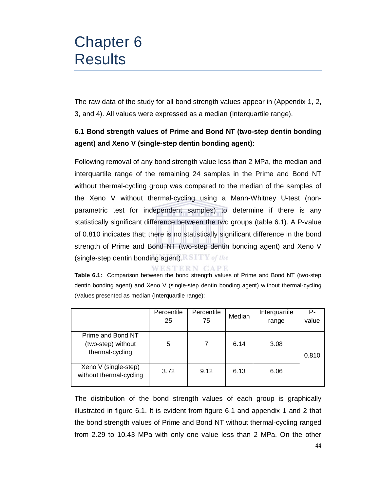# Chapter 6 **Results**

The raw data of the study for all bond strength values appear in (Appendix 1, 2, 3, and 4). All values were expressed as a median (Interquartile range).

### **6.1 Bond strength values of Prime and Bond NT (two-step dentin bonding agent) and Xeno V (single-step dentin bonding agent):**

Following removal of any bond strength value less than 2 MPa, the median and interquartile range of the remaining 24 samples in the Prime and Bond NT without thermal-cycling group was compared to the median of the samples of the Xeno V without thermal-cycling using a Mann-Whitney U-test (nonparametric test for independent samples) to determine if there is any statistically significant difference between the two groups (table 6.1). A P-value of 0.810 indicates that; there is no statistically significant difference in the bond strength of Prime and Bond NT (two-step dentin bonding agent) and Xeno V (single-step dentin bonding agent). STTY of the

WESTERN CAPE

**Table 6.1:** Comparison between the bond strength values of Prime and Bond NT (two-step dentin bonding agent) and Xeno V (single-step dentin bonding agent) without thermal-cycling (Values presented as median (Interquartile range):

|                                                            | Percentile<br>25 | Percentile<br>75 | Median | Interquartile<br>range | Р-<br>value |
|------------------------------------------------------------|------------------|------------------|--------|------------------------|-------------|
| Prime and Bond NT<br>(two-step) without<br>thermal-cycling | 5                |                  | 6.14   | 3.08                   | 0.810       |
| Xeno V (single-step)<br>without thermal-cycling            | 3.72             | 9.12             | 6.13   | 6.06                   |             |

The distribution of the bond strength values of each group is graphically illustrated in figure 6.1. It is evident from figure 6.1 and appendix 1 and 2 that the bond strength values of Prime and Bond NT without thermal-cycling ranged from 2.29 to 10.43 MPa with only one value less than 2 MPa. On the other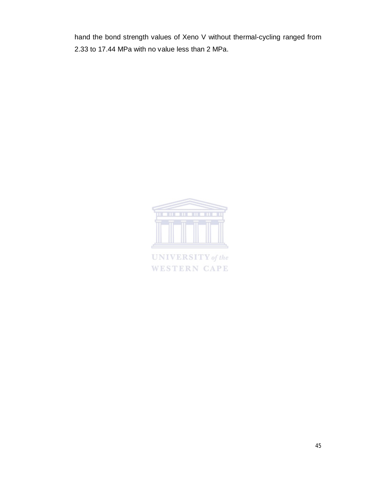hand the bond strength values of Xeno V without thermal-cycling ranged from 2.33 to 17.44 MPa with no value less than 2 MPa.



**UNIVERSITY** of the **WESTERN CAPE**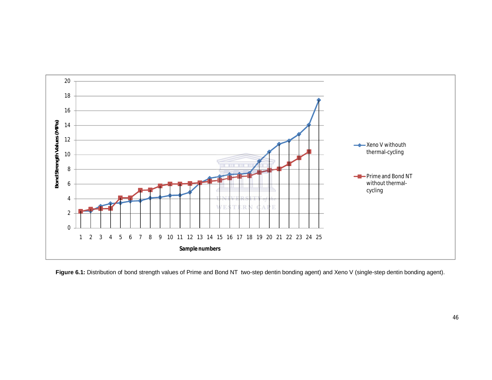

Figure 6.1: Distribution of bond strength values of Prime and Bond NT two-step dentin bonding agent) and Xeno V (single-step dentin bonding agent).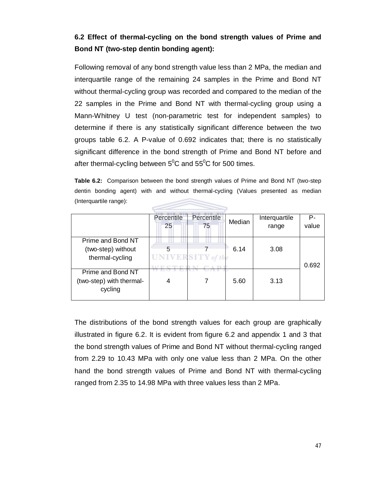### **6.2 Effect of thermal-cycling on the bond strength values of Prime and Bond NT (two-step dentin bonding agent):**

Following removal of any bond strength value less than 2 MPa, the median and interquartile range of the remaining 24 samples in the Prime and Bond NT without thermal-cycling group was recorded and compared to the median of the 22 samples in the Prime and Bond NT with thermal-cycling group using a Mann-Whitney U test (non-parametric test for independent samples) to determine if there is any statistically significant difference between the two groups table 6.2. A P-value of 0.692 indicates that; there is no statistically significant difference in the bond strength of Prime and Bond NT before and after thermal-cycling between  $5^0C$  and  $55^0C$  for 500 times.

**Table 6.2:** Comparison between the bond strength values of Prime and Bond NT (two-step dentin bonding agent) with and without thermal-cycling (Values presented as median (Interquartile range):

|                                                            | Percentile<br>25 | Percentile<br>75         | Median | Interquartile<br>range | P-<br>value |
|------------------------------------------------------------|------------------|--------------------------|--------|------------------------|-------------|
| Prime and Bond NT<br>(two-step) without<br>thermal-cycling | 5                | <b>UNIVERSITY</b> of the | 6.14   | 3.08                   | 0.692       |
| Prime and Bond NT<br>(two-step) with thermal-<br>cycling   | 4                |                          | 5.60   | 3.13                   |             |

The distributions of the bond strength values for each group are graphically illustrated in figure 6.2. It is evident from figure 6.2 and appendix 1 and 3 that the bond strength values of Prime and Bond NT without thermal-cycling ranged from 2.29 to 10.43 MPa with only one value less than 2 MPa. On the other hand the bond strength values of Prime and Bond NT with thermal-cycling ranged from 2.35 to 14.98 MPa with three values less than 2 MPa.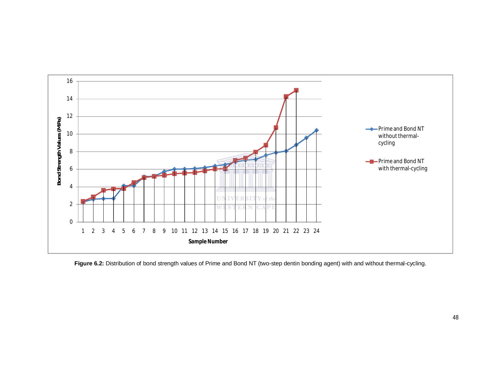

Figure 6.2: Distribution of bond strength values of Prime and Bond NT (two-step dentin bonding agent) with and without thermal-cycling.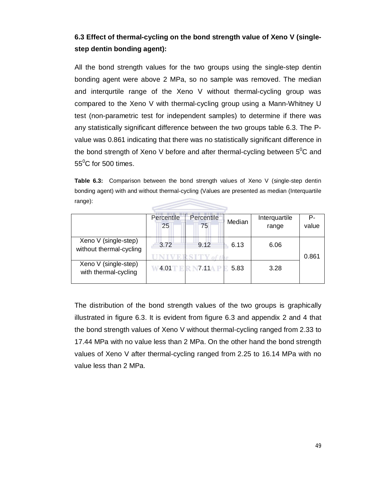### **6.3 Effect of thermal-cycling on the bond strength value of Xeno V (singlestep dentin bonding agent):**

All the bond strength values for the two groups using the single-step dentin bonding agent were above 2 MPa, so no sample was removed. The median and interqurtile range of the Xeno V without thermal-cycling group was compared to the Xeno V with thermal-cycling group using a Mann-Whitney U test (non-parametric test for independent samples) to determine if there was any statistically significant difference between the two groups table 6.3. The Pvalue was 0.861 indicating that there was no statistically significant difference in the bond strength of Xeno V before and after thermal-cycling between  $5^{0}C$  and  $55^{\circ}$ C for 500 times.

**Table 6.3:** Comparison between the bond strength values of Xeno V (single-step dentin bonding agent) with and without thermal-cycling (Values are presented as median (Interquartile range):

|                                                 | Percentile<br>25 | Percentile<br>75 | Median | Interquartile<br>range | P-<br>value |
|-------------------------------------------------|------------------|------------------|--------|------------------------|-------------|
| Xeno V (single-step)<br>without thermal-cycling | 3.72             | 9.12             | 6.13   | 6.06                   | 0.861       |
| Xeno V (single-step)<br>with thermal-cycling    | 4.01             |                  | 5.83   | 3.28                   |             |

The distribution of the bond strength values of the two groups is graphically illustrated in figure 6.3. It is evident from figure 6.3 and appendix 2 and 4 that the bond strength values of Xeno V without thermal-cycling ranged from 2.33 to 17.44 MPa with no value less than 2 MPa. On the other hand the bond strength values of Xeno V after thermal-cycling ranged from 2.25 to 16.14 MPa with no value less than 2 MPa.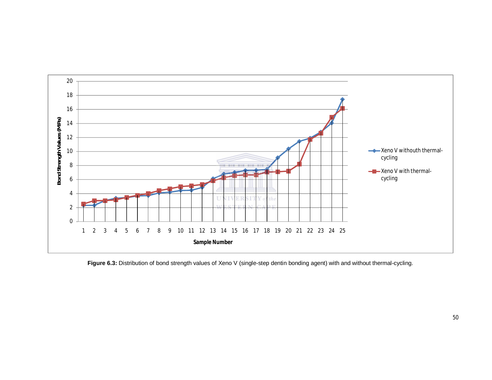

Figure 6.3: Distribution of bond strength values of Xeno V (single-step dentin bonding agent) with and without thermal-cycling.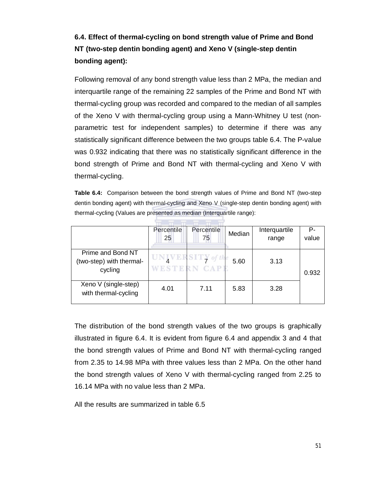## **6.4. Effect of thermal-cycling on bond strength value of Prime and Bond NT (two-step dentin bonding agent) and Xeno V (single-step dentin bonding agent):**

Following removal of any bond strength value less than 2 MPa, the median and interquartile range of the remaining 22 samples of the Prime and Bond NT with thermal-cycling group was recorded and compared to the median of all samples of the Xeno V with thermal-cycling group using a Mann-Whitney U test (nonparametric test for independent samples) to determine if there was any statistically significant difference between the two groups table 6.4. The P-value was 0.932 indicating that there was no statistically significant difference in the bond strength of Prime and Bond NT with thermal-cycling and Xeno V with thermal-cycling.

**Table 6.4:** Comparison between the bond strength values of Prime and Bond NT (two-step dentin bonding agent) with thermal-cycling and Xeno V (single-step dentin bonding agent) with thermal-cycling (Values are presented as median (Interquartile range):

|                                                          | Percentile<br>25 | Percentile<br>75                         | Median | Interquartile<br>range | P-<br>value |
|----------------------------------------------------------|------------------|------------------------------------------|--------|------------------------|-------------|
| Prime and Bond NT<br>(two-step) with thermal-<br>cycling |                  | $\frac{1}{2}$ SITY of the<br>WESTERN CAP | 5.60   | 3.13                   | 0.932       |
| Xeno V (single-step)<br>with thermal-cycling             | 4.01             | 7.11                                     | 5.83   | 3.28                   |             |

The distribution of the bond strength values of the two groups is graphically illustrated in figure 6.4. It is evident from figure 6.4 and appendix 3 and 4 that the bond strength values of Prime and Bond NT with thermal-cycling ranged from 2.35 to 14.98 MPa with three values less than 2 MPa. On the other hand the bond strength values of Xeno V with thermal-cycling ranged from 2.25 to 16.14 MPa with no value less than 2 MPa.

All the results are summarized in table 6.5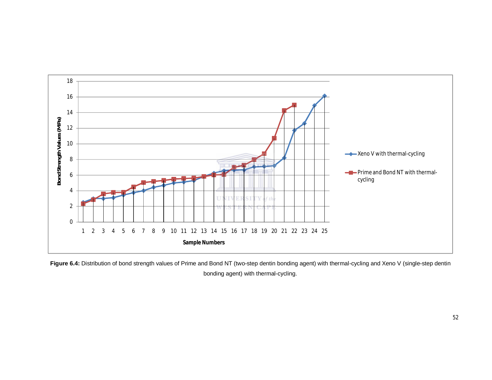

Figure 6.4: Distribution of bond strength values of Prime and Bond NT (two-step dentin bonding agent) with thermal-cycling and Xeno V (single-step dentin bonding agent) with thermal-cycling.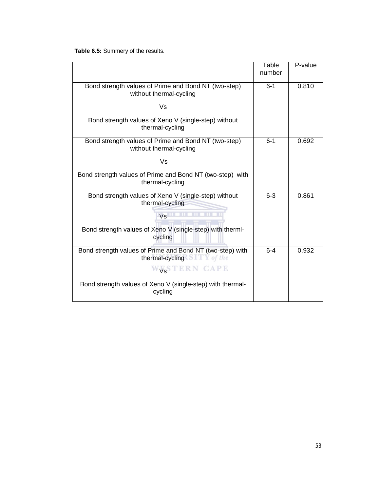**Table 6.5:** Summery of the results.

|                                                                                          | Table<br>number | P-value |
|------------------------------------------------------------------------------------------|-----------------|---------|
| Bond strength values of Prime and Bond NT (two-step)<br>without thermal-cycling          | $6 - 1$         | 0.810   |
| Vs                                                                                       |                 |         |
| Bond strength values of Xeno V (single-step) without<br>thermal-cycling                  |                 |         |
| Bond strength values of Prime and Bond NT (two-step)<br>without thermal-cycling          | $6 - 1$         | 0.692   |
| Vs                                                                                       |                 |         |
| Bond strength values of Prime and Bond NT (two-step) with<br>thermal-cycling             |                 |         |
| Bond strength values of Xeno V (single-step) without<br>thermal-cycling                  | $6 - 3$         | 0.861   |
| Vs                                                                                       |                 |         |
| Bond strength values of Xeno V (single-step) with therml-<br>cycling                     |                 |         |
| Bond strength values of Prime and Bond NT (two-step) with<br>thermal-cycling STTY of the | $6 - 4$         | 0.932   |
| WESTERN CAPE                                                                             |                 |         |
| Bond strength values of Xeno V (single-step) with thermal-<br>cycling                    |                 |         |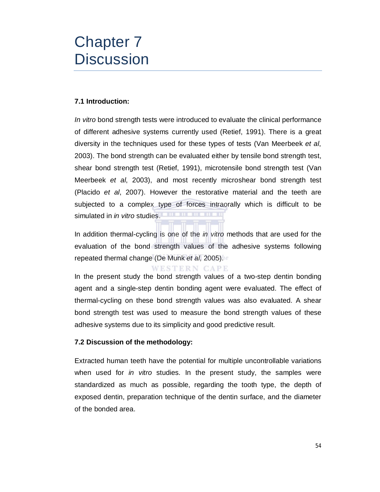## Chapter 7 **Discussion**

#### **7.1 Introduction:**

*In vitro* bond strength tests were introduced to evaluate the clinical performance of different adhesive systems currently used (Retief, 1991). There is a great diversity in the techniques used for these types of tests (Van Meerbeek *et al*, 2003). The bond strength can be evaluated either by tensile bond strength test, shear bond strength test (Retief, 1991), microtensile bond strength test (Van Meerbeek *et al*, 2003), and most recently microshear bond strength test (Placido *et al*, 2007). However the restorative material and the teeth are subjected to a complex type of forces intraorally which is difficult to be simulated in *in vitro* studies.

In addition thermal-cycling is one of the *in vitro* methods that are used for the evaluation of the bond strength values of the adhesive systems following repeated thermal change (De Munk *et al*, 2005).

WESTERN CAPE

In the present study the bond strength values of a two-step dentin bonding agent and a single-step dentin bonding agent were evaluated. The effect of thermal-cycling on these bond strength values was also evaluated. A shear bond strength test was used to measure the bond strength values of these adhesive systems due to its simplicity and good predictive result.

#### **7.2 Discussion of the methodology:**

Extracted human teeth have the potential for multiple uncontrollable variations when used for *in vitro* studies. In the present study, the samples were standardized as much as possible, regarding the tooth type, the depth of exposed dentin, preparation technique of the dentin surface, and the diameter of the bonded area.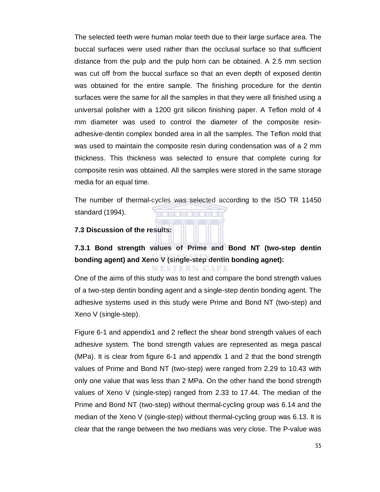The selected teeth were human molar teeth due to their large surface area. The buccal surfaces were used rather than the occlusal surface so that sufficient distance from the pulp and the pulp horn can be obtained. A 2.5 mm section was cut off from the buccal surface so that an even depth of exposed dentin was obtained for the entire sample. The finishing procedure for the dentin surfaces were the same for all the samples in that they were all finished using a universal polisher with a 1200 grit silicon finishing paper. A Teflon mold of 4 mm diameter was used to control the diameter of the composite resinadhesive-dentin complex bonded area in all the samples. The Teflon mold that was used to maintain the composite resin during condensation was of a 2 mm thickness. This thickness was selected to ensure that complete curing for composite resin was obtained. All the samples were stored in the same storage media for an equal time.

The number of thermal-cycles was selected according to the ISO TR 11450 standard (1994).

#### **7.3 Discussion of the results:**

### **7.3.1 Bond strength values of Prime and Bond NT (two-step dentin bonding agent) and Xeno V (single-step dentin bonding agnet):** WESTERN CAPE

One of the aims of this study was to test and compare the bond strength values of a two-step dentin bonding agent and a single-step dentin bonding agent. The adhesive systems used in this study were Prime and Bond NT (two-step) and Xeno V (single-step).

Figure 6-1 and appendix1 and 2 reflect the shear bond strength values of each adhesive system. The bond strength values are represented as mega pascal (MPa). It is clear from figure 6-1 and appendix 1 and 2 that the bond strength values of Prime and Bond NT (two-step) were ranged from 2.29 to 10.43 with only one value that was less than 2 MPa. On the other hand the bond strength values of Xeno V (single-step) ranged from 2.33 to 17.44. The median of the Prime and Bond NT (two-step) without thermal-cycling group was 6.14 and the median of the Xeno V (single-step) without thermal-cycling group was 6.13. It is clear that the range between the two medians was very close. The P-value was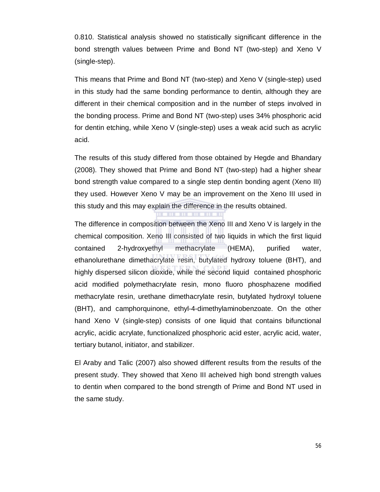0.810. Statistical analysis showed no statistically significant difference in the bond strength values between Prime and Bond NT (two-step) and Xeno V (single-step).

This means that Prime and Bond NT (two-step) and Xeno V (single-step) used in this study had the same bonding performance to dentin, although they are different in their chemical composition and in the number of steps involved in the bonding process. Prime and Bond NT (two-step) uses 34% phosphoric acid for dentin etching, while Xeno V (single-step) uses a weak acid such as acrylic acid.

The results of this study differed from those obtained by Hegde and Bhandary (2008). They showed that Prime and Bond NT (two-step) had a higher shear bond strength value compared to a single step dentin bonding agent (Xeno III) they used. However Xeno V may be an improvement on the Xeno III used in this study and this may explain the difference in the results obtained.

тm

The difference in composition between the Xeno III and Xeno V is largely in the chemical composition. Xeno III consisted of two liquids in which the first liquid contained 2-hydroxyethyl methacrylate (HEMA), purified water, ethanolurethane dimethacrylate resin, butylated hydroxy toluene (BHT), and highly dispersed silicon dioxide, while the second liquid contained phosphoric acid modified polymethacrylate resin, mono fluoro phosphazene modified methacrylate resin, urethane dimethacrylate resin, butylated hydroxyl toluene (BHT), and camphorquinone, ethyl-4-dimethylaminobenzoate. On the other hand Xeno V (single-step) consists of one liquid that contains bifunctional acrylic, acidic acrylate, functionalized phosphoric acid ester, acrylic acid, water, tertiary butanol, initiator, and stabilizer.

El Araby and Talic (2007) also showed different results from the results of the present study. They showed that Xeno III acheived high bond strength values to dentin when compared to the bond strength of Prime and Bond NT used in the same study.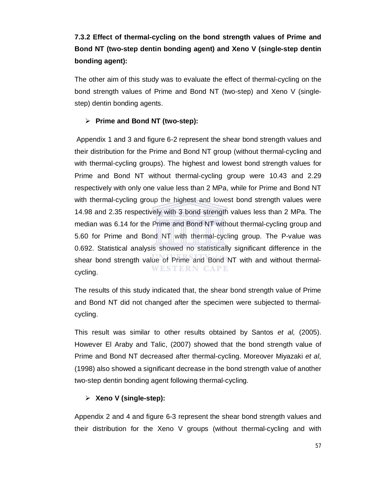## **7.3.2 Effect of thermal-cycling on the bond strength values of Prime and Bond NT (two-step dentin bonding agent) and Xeno V (single-step dentin bonding agent):**

The other aim of this study was to evaluate the effect of thermal-cycling on the bond strength values of Prime and Bond NT (two-step) and Xeno V (singlestep) dentin bonding agents.

#### **Prime and Bond NT (two-step):**

Appendix 1 and 3 and figure 6-2 represent the shear bond strength values and their distribution for the Prime and Bond NT group (without thermal-cycling and with thermal-cycling groups). The highest and lowest bond strength values for Prime and Bond NT without thermal-cycling group were 10.43 and 2.29 respectively with only one value less than 2 MPa, while for Prime and Bond NT with thermal-cycling group the highest and lowest bond strength values were 14.98 and 2.35 respectively with 3 bond strength values less than 2 MPa. The median was 6.14 for the Prime and Bond NT without thermal-cycling group and 5.60 for Prime and Bond NT with thermal-cycling group. The P-value was 0.692. Statistical analysis showed no statistically significant difference in the shear bond strength value of Prime and Bond NT with and without thermal-WESTERN CAPE cycling.

The results of this study indicated that, the shear bond strength value of Prime and Bond NT did not changed after the specimen were subjected to thermalcycling.

This result was similar to other results obtained by Santos *et al*, (2005). However El Araby and Talic, (2007) showed that the bond strength value of Prime and Bond NT decreased after thermal-cycling. Moreover Miyazaki *et al*, (1998) also showed a significant decrease in the bond strength value of another two-step dentin bonding agent following thermal-cycling.

#### **Xeno V (single-step):**

Appendix 2 and 4 and figure 6-3 represent the shear bond strength values and their distribution for the Xeno V groups (without thermal-cycling and with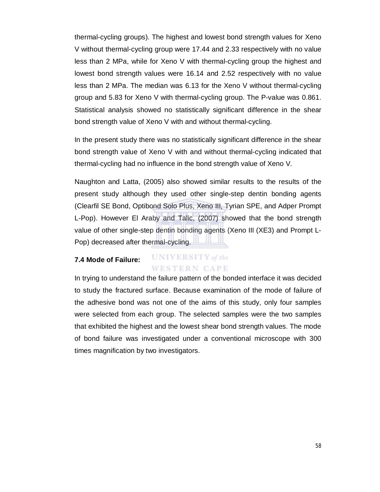thermal-cycling groups). The highest and lowest bond strength values for Xeno V without thermal-cycling group were 17.44 and 2.33 respectively with no value less than 2 MPa, while for Xeno V with thermal-cycling group the highest and lowest bond strength values were 16.14 and 2.52 respectively with no value less than 2 MPa. The median was 6.13 for the Xeno V without thermal-cycling group and 5.83 for Xeno V with thermal-cycling group. The P-value was 0.861. Statistical analysis showed no statistically significant difference in the shear bond strength value of Xeno V with and without thermal-cycling.

In the present study there was no statistically significant difference in the shear bond strength value of Xeno V with and without thermal-cycling indicated that thermal-cycling had no influence in the bond strength value of Xeno V.

Naughton and Latta, (2005) also showed similar results to the results of the present study although they used other single-step dentin bonding agents (Clearfil SE Bond, Optibond Solo Plus, Xeno III, Tyrian SPE, and Adper Prompt L-Pop). However El Araby and Talic, (2007) showed that the bond strength value of other single-step dentin bonding agents (Xeno III (XE3) and Prompt L-Pop) decreased after thermal-cycling.

#### **UNIVERSITY** of the **7.4 Mode of Failure: WESTERN CAPE**

In trying to understand the failure pattern of the bonded interface it was decided to study the fractured surface. Because examination of the mode of failure of the adhesive bond was not one of the aims of this study, only four samples were selected from each group. The selected samples were the two samples that exhibited the highest and the lowest shear bond strength values. The mode of bond failure was investigated under a conventional microscope with 300 times magnification by two investigators.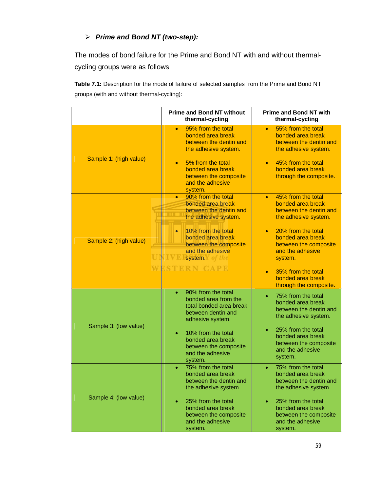### *Prime and Bond NT (two-step):*

The modes of bond failure for the Prime and Bond NT with and without thermalcycling groups were as follows

**Table 7.1:** Description for the mode of failure of selected samples from the Prime and Bond NT groups (with and without thermal-cycling):

|                        | <b>Prime and Bond NT without</b><br>thermal-cycling                                                             | <b>Prime and Bond NT with</b><br>thermal-cycling                                                       |  |  |
|------------------------|-----------------------------------------------------------------------------------------------------------------|--------------------------------------------------------------------------------------------------------|--|--|
| Sample 1: (high value) | 95% from the total<br>$\bullet$<br>bonded area break<br>between the dentin and<br>the adhesive system.          | 55% from the total<br>$\bullet$<br>bonded area break<br>between the dentin and<br>the adhesive system. |  |  |
|                        | 5% from the total<br>$\bullet$<br>bonded area break<br>between the composite<br>and the adhesive<br>system.     | 45% from the total<br>bonded area break<br>through the composite.                                      |  |  |
|                        | 90% from the total<br>$\bullet$<br>bonded area break<br>between the dentin and<br>the adhesive system.          | 45% from the total<br>$\bullet$<br>bonded area break<br>between the dentin and<br>the adhesive system. |  |  |
| Sample 2: (high value) | 10% from the total<br>bonded area break<br>between the composite<br>and the adhesive<br>UNIVEIsystem.Y of the   | 20% from the total<br>bonded area break<br>between the composite<br>and the adhesive<br>system.        |  |  |
|                        | WESTERN CAPE                                                                                                    | 35% from the total<br>$\bullet$<br>bonded area break<br>through the composite.                         |  |  |
| Sample 3: (low value)  | 90% from the total<br>bonded area from the<br>total bonded area break<br>between dentin and<br>adhesive system. | 75% from the total<br>bonded area break<br>between the dentin and<br>the adhesive system.              |  |  |
|                        | 10% from the total<br>bonded area break<br>between the composite<br>and the adhesive<br>system.                 | 25% from the total<br>bonded area break<br>between the composite<br>and the adhesive<br>system.        |  |  |
| Sample 4: (low value)  | 75% from the total<br>$\bullet$<br>bonded area break<br>between the dentin and<br>the adhesive system.          | 75% from the total<br>۰<br>bonded area break<br>between the dentin and<br>the adhesive system.         |  |  |
|                        | 25% from the total<br>۰<br>bonded area break<br>between the composite<br>and the adhesive<br>system.            | 25% from the total<br>bonded area break<br>between the composite<br>and the adhesive<br>system.        |  |  |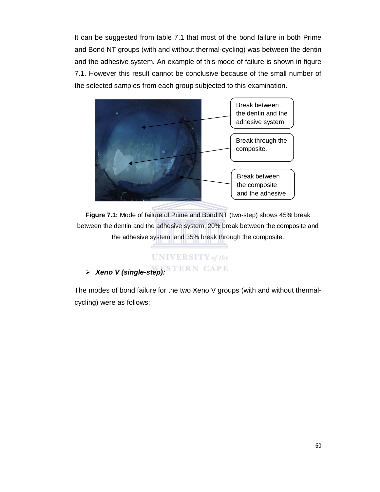It can be suggested from table 7.1 that most of the bond failure in both Prime and Bond NT groups (with and without thermal-cycling) was between the dentin and the adhesive system. An example of this mode of failure is shown in figure 7.1. However this result cannot be conclusive because of the small number of the selected samples from each group subjected to this examination.



**Figure 7.1:** Mode of failure of Prime and Bond NT (two-step) shows 45% break between the dentin and the adhesive system, 20% break between the composite and the adhesive system, and 35% break through the composite.

## **UNIVERSITY** of the *Xeno V (single-step):*

The modes of bond failure for the two Xeno V groups (with and without thermalcycling) were as follows: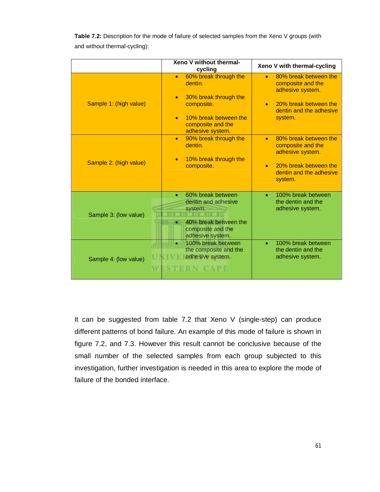|                        | Xeno V without thermal-<br>cycling                                                                                                                                  | Xeno V with thermal-cycling                                                                                                                             |
|------------------------|---------------------------------------------------------------------------------------------------------------------------------------------------------------------|---------------------------------------------------------------------------------------------------------------------------------------------------------|
| Sample 1: (high value) | 60% break through the<br>$\bullet$<br>dentin.<br>30% break through the<br>$\bullet$<br>composite.<br>10% break between the<br>composite and the<br>adhesive system. | 80% break between the<br>$\bullet$<br>composite and the<br>adhesive system.<br>20% break between the<br>$\bullet$<br>dentin and the adhesive<br>system. |
| Sample 2: (high value) | 90% break through the<br>$\bullet$<br>dentin.<br>10% break through the<br>$\bullet$<br>composite.                                                                   | 80% break between the<br>$\bullet$<br>composite and the<br>adhesive system.<br>20% break between the<br>$\bullet$<br>dentin and the adhesive<br>system. |
| Sample 3: (low value)  | 60% break between<br>$\bullet$<br>dentin and adhesive<br>system.<br>40% break between the<br>composite and the<br>adhesive system.                                  | 100% break between<br>$\bullet$<br>the dentin and the<br>adhesive system.                                                                               |
| Sample 4: (low value)  | 100% break between<br>the composite and the<br>adhesive system.<br>ERN CAPE                                                                                         | 100% break between<br>the dentin and the<br>adhesive system.                                                                                            |

**Table 7.2:** Description for the mode of failure of selected samples from the Xeno V groups (with and without thermal-cycling):

It can be suggested from table 7.2 that Xeno V (single-step) can produce different patterns of bond failure. An example of this mode of failure is shown in figure 7.2, and 7.3. However this result cannot be conclusive because of the small number of the selected samples from each group subjected to this investigation, further investigation is needed in this area to explore the mode of failure of the bonded interface.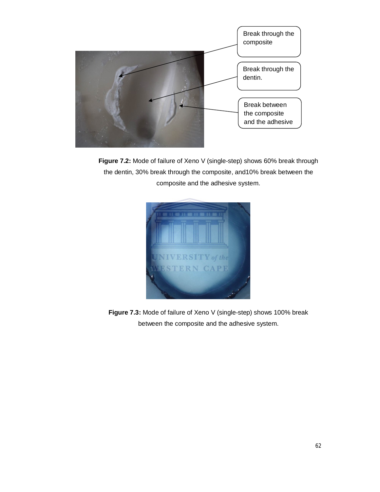

**Figure 7.2:** Mode of failure of Xeno V (single-step) shows 60% break through the dentin, 30% break through the composite, and10% break between the composite and the adhesive system.



**Figure 7.3:** Mode of failure of Xeno V (single-step) shows 100% break between the composite and the adhesive system.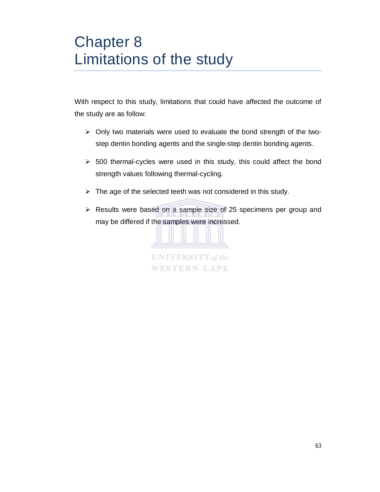# Chapter 8 Limitations of the study

With respect to this study, limitations that could have affected the outcome of the study are as follow:

- $\triangleright$  Only two materials were used to evaluate the bond strength of the twostep dentin bonding agents and the single-step dentin bonding agents.
- $\geq$  500 thermal-cycles were used in this study, this could affect the bond strength values following thermal-cycling.
- $\triangleright$  The age of the selected teeth was not considered in this study.
- Results were based on a sample size of 25 specimens per group and may be differed if the samples were increased.

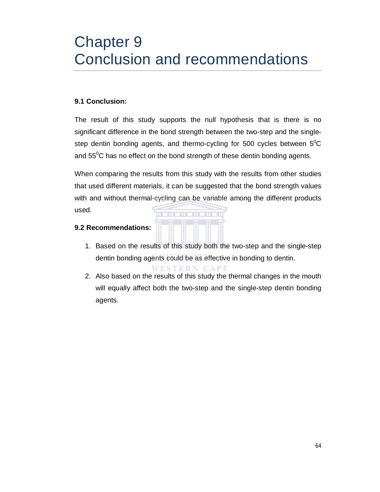# Chapter 9 Conclusion and recommendations

#### **9.1 Conclusion:**

The result of this study supports the null hypothesis that is there is no significant difference in the bond strength between the two-step and the singlestep dentin bonding agents, and thermo-cycling for 500 cycles between  $5^{\circ}$ C and  $55^0C$  has no effect on the bond strength of these dentin bonding agents.

When comparing the results from this study with the results from other studies that used different materials, it can be suggested that the bond strength values with and without thermal-cycling can be variable among the different products used.

#### **9.2 Recommendations:**

1. Based on the results of this study both the two-step and the single-step dentin bonding agents could be as effective in bonding to dentin.

WESTERN CAPE

2. Also based on the results of this study the thermal changes in the mouth will equally affect both the two-step and the single-step dentin bonding agents.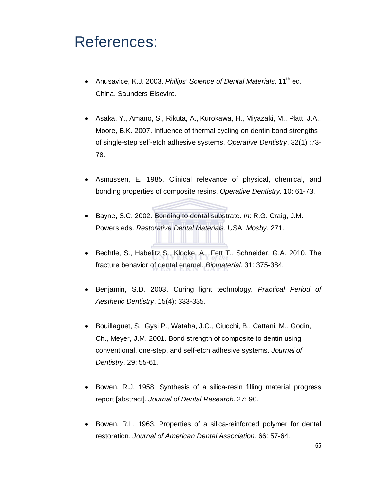### References:

- Anusavice, K.J. 2003. *Philips' Science of Dental Materials*. 11<sup>th</sup> ed. China. Saunders Elsevire.
- Asaka, Y., Amano, S., Rikuta, A., Kurokawa, H., Miyazaki, M., Platt, J.A., Moore, B.K. 2007. Influence of thermal cycling on dentin bond strengths of single-step self-etch adhesive systems. *Operative Dentistry*. 32(1) :73- 78.
- Asmussen, E. 1985. Clinical relevance of physical, chemical, and bonding properties of composite resins. *Operative Dentistry*. 10: 61-73.
- Bayne, S.C. 2002. Bonding to dental substrate. *In*: R.G. Craig, J.M. Powers eds. *Restorative Dental Materials*. USA: *Mosby*, 271.
- Bechtle, S., Habelitz S., Klocke, A., Fett T., Schneider, G.A. 2010. The fracture behavior of dental enamel. *Biomaterial*. 31: 375-384.
- Benjamin, S.D. 2003. Curing light technology. *Practical Period of Aesthetic Dentistry*. 15(4): 333-335.
- Bouillaguet, S., Gysi P., Wataha, J.C., Ciucchi, B., Cattani, M., Godin, Ch., Meyer, J.M. 2001. Bond strength of composite to dentin using conventional, one-step, and self-etch adhesive systems. *Journal of Dentistry*. 29: 55-61.
- Bowen, R.J. 1958. Synthesis of a silica-resin filling material progress report [abstract]. *Journal of Dental Research*. 27: 90.
- Bowen, R.L. 1963. Properties of a silica-reinforced polymer for dental restoration. *Journal of American Dental Association*. 66: 57-64.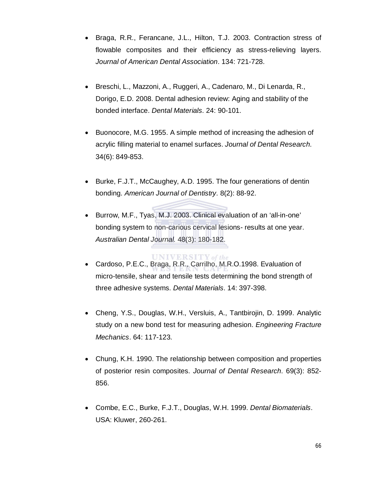- Braga, R.R., Ferancane, J.L., Hilton, T.J. 2003. Contraction stress of flowable composites and their efficiency as stress-relieving layers. *Journal of American Dental Association*. 134: 721-728.
- Breschi, L., Mazzoni, A., Ruggeri, A., Cadenaro, M., Di Lenarda, R., Dorigo, E.D. 2008. Dental adhesion review: Aging and stability of the bonded interface. *Dental Materials*. 24: 90-101.
- Buonocore, M.G. 1955. A simple method of increasing the adhesion of acrylic filling material to enamel surfaces. *Journal of Dental Research*. 34(6): 849-853.
- Burke, F.J.T., McCaughey, A.D. 1995. The four generations of dentin bonding. *American Journal of Dentistry*. 8(2): 88-92.
- Burrow, M.F., Tyas, M.J. 2003. Clinical evaluation of an 'all-in-one' bonding system to non-carious cervical lesions- results at one year. *Australian Dental Journal*. 48(3): 180-182.
- **UNIVERSITY** of the Cardoso, P.E.C., Braga, R.R., Carrilho, M.R.O.1998. Evaluation of micro-tensile, shear and tensile tests determining the bond strength of three adhesive systems. *Dental Materials*. 14: 397-398.
- Cheng, Y.S., Douglas, W.H., Versluis, A., Tantbirojin, D. 1999. Analytic study on a new bond test for measuring adhesion. *Engineering Fracture Mechanics*. 64: 117-123.
- Chung, K.H. 1990. The relationship between composition and properties of posterior resin composites. *Journal of Dental Research*. 69(3): 852- 856.
- Combe, E.C., Burke, F.J.T., Douglas, W.H. 1999. *Dental Biomaterials*. USA: Kluwer, 260-261.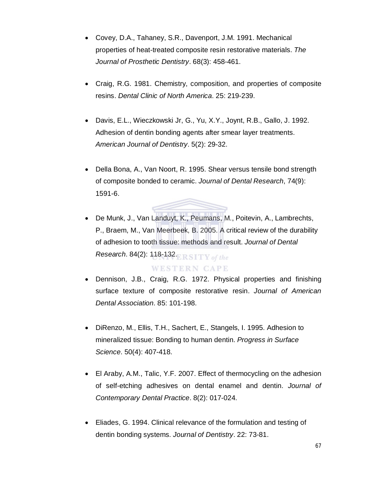- Covey, D.A., Tahaney, S.R., Davenport, J.M. 1991. Mechanical properties of heat-treated composite resin restorative materials. *The Journal of Prosthetic Dentistry*. 68(3): 458-461.
- Craig, R.G. 1981. Chemistry, composition, and properties of composite resins. *Dental Clinic of North America*. 25: 219-239.
- Davis, E.L., Wieczkowski Jr, G., Yu, X.Y., Joynt, R.B., Gallo, J. 1992. Adhesion of dentin bonding agents after smear layer treatments. *American Journal of Dentistry*. 5(2): 29-32.
- Della Bona, A., Van Noort, R. 1995. Shear versus tensile bond strength of composite bonded to ceramic. *Journal of Dental Research*, 74(9): 1591-6.
- De Munk, J., Van Landuyt, K., Peumans, M., Poitevin, A., Lambrechts, P., Braem, M., Van Meerbeek, B. 2005. A critical review of the durability of adhesion to tooth tissue: methods and result. *Journal of Dental Research*. 84(2): 118-132.

#### **WESTERN CAPE**

- Dennison, J.B., Craig, R.G. 1972. Physical properties and finishing surface texture of composite restorative resin. *Journal of American Dental Association*. 85: 101-198.
- DiRenzo, M., Ellis, T.H., Sachert, E., Stangels, I. 1995. Adhesion to mineralized tissue: Bonding to human dentin. *Progress in Surface Science*. 50(4): 407-418.
- El Araby, A.M., Talic, Y.F. 2007. Effect of thermocycling on the adhesion of self-etching adhesives on dental enamel and dentin. *Journal of Contemporary Dental Practice*. 8(2): 017-024.
- Eliades, G. 1994. Clinical relevance of the formulation and testing of dentin bonding systems. *Journal of Dentistry*. 22: 73-81.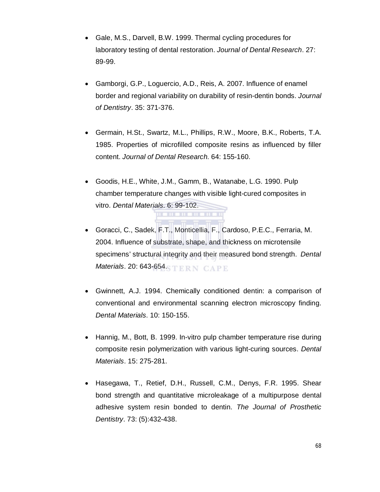- Gale, M.S., Darvell, B.W. 1999. Thermal cycling procedures for laboratory testing of dental restoration. *Journal of Dental Research*. 27: 89-99.
- Gamborgi, G.P., Loguercio, A.D., Reis, A. 2007. Influence of enamel border and regional variability on durability of resin-dentin bonds. *Journal of Dentistry*. 35: 371-376.
- Germain, H.St., Swartz, M.L., Phillips, R.W., Moore, B.K., Roberts, T.A. 1985. Properties of microfilled composite resins as influenced by filler content. *Journal of Dental Research*. 64: 155-160.
- Goodis, H.E., White, J.M., Gamm, B., Watanabe, L.G. 1990. Pulp chamber temperature changes with visible light-cured composites in vitro. *Dental Materials*. 6: 99-102.
- Goracci, C., Sadek, F.T., Monticellia, F., Cardoso, P.E.C., Ferraria, M. 2004. Influence of substrate, shape, and thickness on microtensile specimens' structural integrity and their measured bond strength. *Dental Materials*. 20: 643-654.
- Gwinnett, A.J. 1994. Chemically conditioned dentin: a comparison of conventional and environmental scanning electron microscopy finding. *Dental Materials*. 10: 150-155.
- Hannig, M., Bott, B. 1999. In-vitro pulp chamber temperature rise during composite resin polymerization with various light-curing sources. *Dental Materials*. 15: 275-281.
- Hasegawa, T., Retief, D.H., Russell, C.M., Denys, F.R. 1995. Shear bond strength and quantitative microleakage of a multipurpose dental adhesive system resin bonded to dentin. *The Journal of Prosthetic Dentistry*. 73: (5):432-438.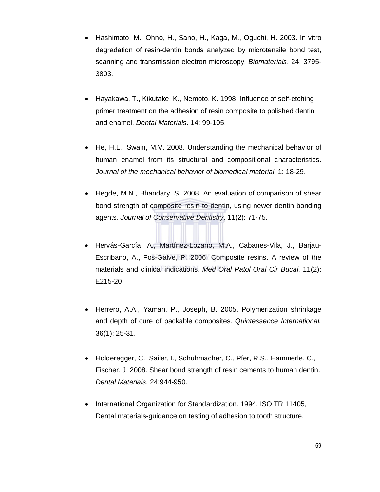- Hashimoto, M., Ohno, H., Sano, H., Kaga, M., Oguchi, H. 2003. In vitro degradation of resin-dentin bonds analyzed by microtensile bond test, scanning and transmission electron microscopy. *Biomaterials*. 24: 3795- 3803.
- Hayakawa, T., Kikutake, K., Nemoto, K. 1998. Influence of self-etching primer treatment on the adhesion of resin composite to polished dentin and enamel. *Dental Materials*. 14: 99-105.
- He, H.L., Swain, M.V. 2008. Understanding the mechanical behavior of human enamel from its structural and compositional characteristics. *Journal of the mechanical behavior of biomedical material*. 1: 18-29.
- Hegde, M.N., Bhandary, S. 2008. An evaluation of comparison of shear bond strength of composite resin to dentin, using newer dentin bonding agents. *Journal of Conservative Dentistry*. 11(2): 71-75.
- Hervás-García, A., Martínez-Lozano, M.A., Cabanes-Vila, J., Barjau-Escribano, A., Fos-Galve, P. 2006. Composite resins. A review of the materials and clinical indications. *Med Oral Patol Oral Cir Bucal*. 11(2): E215-20.
- Herrero, A.A., Yaman, P., Joseph, B. 2005. Polymerization shrinkage and depth of cure of packable composites. *Quintessence International.*  36(1): 25-31.
- Holderegger, C., Sailer, I., Schuhmacher, C., Pfer, R.S., Hammerle, C., Fischer, J. 2008. Shear bond strength of resin cements to human dentin. *Dental Materials*. 24:944-950.
- International Organization for Standardization. 1994. ISO TR 11405, Dental materials-guidance on testing of adhesion to tooth structure.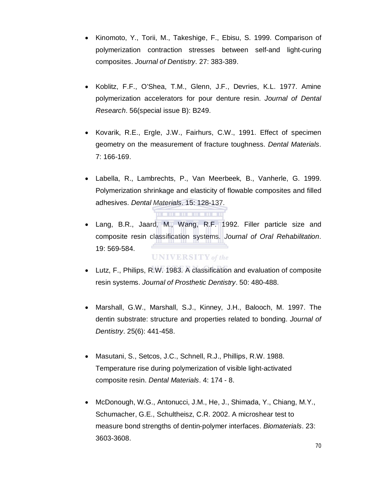- Kinomoto, Y., Torii, M., Takeshige, F., Ebisu, S. 1999. Comparison of polymerization contraction stresses between self-and light-curing composites. *Journal of Dentistry*. 27: 383-389.
- Koblitz, F.F., O'Shea, T.M., Glenn, J.F., Devries, K.L. 1977. Amine polymerization accelerators for pour denture resin. *Journal of Dental Research*. 56(special issue B): B249.
- Kovarik, R.E., Ergle, J.W., Fairhurs, C.W., 1991. Effect of specimen geometry on the measurement of fracture toughness. *Dental Materials*. 7: 166-169.
- Labella, R., Lambrechts, P., Van Meerbeek, B., Vanherle, G. 1999. Polymerization shrinkage and elasticity of flowable composites and filled adhesives. *Dental Materials*. 15: 128-137.

. . . . . . . . . . . .

- Lang, B.R., Jaard, M., Wang, R.F. 1992. Filler particle size and composite resin classification systems. *Journal of Oral Rehabilitation*. 19: 569-584. **UNIVERSITY** of the
- Lutz, F., Philips, R.W. 1983. A classification and evaluation of composite resin systems. *Journal of Prosthetic Dentistry*. 50: 480-488.
- Marshall, G.W., Marshall, S.J., Kinney, J.H., Balooch, M. 1997. The dentin substrate: structure and properties related to bonding. *Journal of Dentistry*. 25(6): 441-458.
- Masutani, S., Setcos, J.C., Schnell, R.J., Phillips, R.W. 1988. Temperature rise during polymerization of visible light-activated composite resin. *Dental Materials*. 4: 174 - 8.
- McDonough, W.G., Antonucci, J.M., He, J., Shimada, Y., Chiang, M.Y., Schumacher, G.E., Schultheisz, C.R. 2002. A microshear test to measure bond strengths of dentin-polymer interfaces. *Biomaterials*. 23: 3603-3608.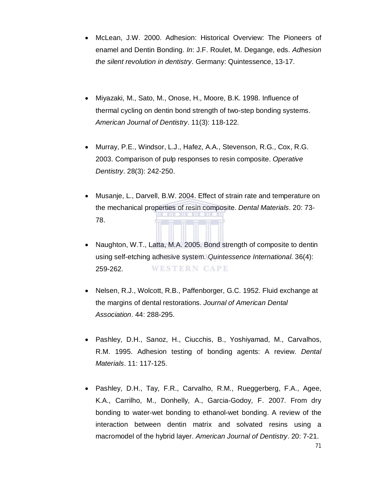- McLean, J.W. 2000. Adhesion: Historical Overview: The Pioneers of enamel and Dentin Bonding. *In*: J.F. Roulet, M. Degange, eds. *Adhesion the silent revolution in dentistry*. Germany: Quintessence, 13-17.
- Miyazaki, M., Sato, M., Onose, H., Moore, B.K. 1998. Influence of thermal cycling on dentin bond strength of two-step bonding systems. *American Journal of Dentistry*. 11(3): 118-122.
- Murray, P.E., Windsor, L.J., Hafez, A.A., Stevenson, R.G., Cox, R.G. 2003. Comparison of pulp responses to resin composite. *Operative Dentistry*. 28(3): 242-250.
- Musanje, L., Darvell, B.W. 2004. Effect of strain rate and temperature on the mechanical properties of resin composite. *Dental Materials*. 20: 73- 78.
- Naughton, W.T., Latta, M.A. 2005. Bond strength of composite to dentin using self-etching adhesive system. *Quintessence International*. 36(4): 259-262. **WESTERN CAPE**
- Nelsen, R.J., Wolcott, R.B., Paffenborger, G.C. 1952. Fluid exchange at the margins of dental restorations. *Journal of American Dental Association*. 44: 288-295.
- Pashley, D.H., Sanoz, H., Ciucchis, B., Yoshiyamad, M., Carvalhos, R.M. 1995. Adhesion testing of bonding agents: A review. *Dental Materials*. 11: 117-125.
- Pashley, D.H., Tay, F.R., Carvalho, R.M., Rueggerberg, F.A., Agee, K.A., Carrilho, M., Donhelly, A., Garcia-Godoy, F. 2007. From dry bonding to water-wet bonding to ethanol-wet bonding. A review of the interaction between dentin matrix and solvated resins using a macromodel of the hybrid layer. *American Journal of Dentistry*. 20: 7-21.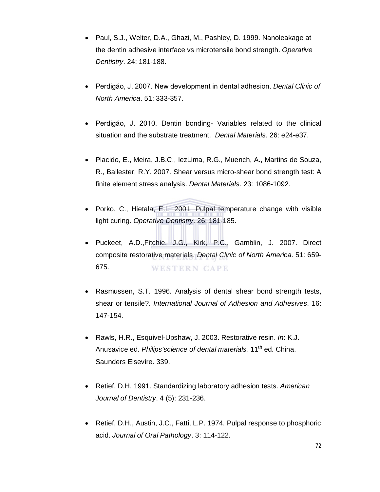- Paul, S.J., Welter, D.A., Ghazi, M., Pashley, D. 1999. Nanoleakage at the dentin adhesive interface vs microtensile bond strength. *Operative Dentistry*. 24: 181-188.
- Perdigăo, J. 2007. New development in dental adhesion. *Dental Clinic of North America*. 51: 333-357.
- Perdigăo, J. 2010. Dentin bonding- Variables related to the clinical situation and the substrate treatment. *Dental Materials*. 26: e24-e37.
- Placido, E., Meira, J.B.C., IezLima, R.G., Muench, A., Martins de Souza, R., Ballester, R.Y. 2007. Shear versus micro-shear bond strength test: A finite element stress analysis. *Dental Materials*. 23: 1086-1092.
- Porko, C., Hietala, E.L. 2001. Pulpal temperature change with visible light curing. *Operative Dentistry*. 26: 181-185.
- Puckeet, A.D.,Fitchie, J.G., Kirk, P.C., Gamblin, J. 2007. Direct composite restorative materials. *Dental Clinic of North America*. 51: 659- 675. **WESTERN CAPE**
- Rasmussen, S.T. 1996. Analysis of dental shear bond strength tests, shear or tensile?. *International Journal of Adhesion and Adhesives*. 16: 147-154.
- Rawls, H.R., Esquivel-Upshaw, J. 2003. Restorative resin. *In*: K.J. Anusavice ed. Philips'science of dental materials. 11<sup>th</sup> ed. China. Saunders Elsevire. 339.
- Retief, D.H. 1991. Standardizing laboratory adhesion tests. *American Journal of Dentistry*. 4 (5): 231-236.
- Retief, D.H., Austin, J.C., Fatti, L.P. 1974. Pulpal response to phosphoric acid. *Journal of Oral Pathology*. 3: 114-122.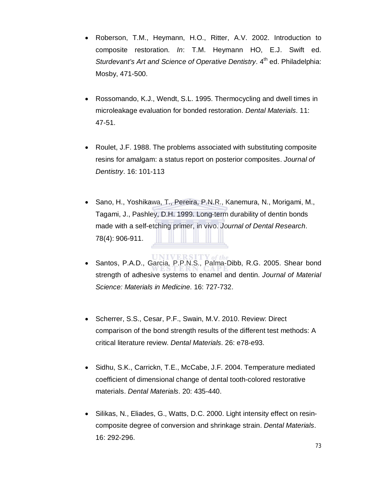- Roberson, T.M., Heymann, H.O., Ritter, A.V. 2002. Introduction to composite restoration. *In*: T.M. Heymann HO, E.J. Swift ed. *Sturdevant's Art and Science of Operative Dentistry.* 4<sup>th</sup> ed. Philadelphia: Mosby, 471-500.
- Rossomando, K.J., Wendt, S.L. 1995. Thermocycling and dwell times in microleakage evaluation for bonded restoration. *Dental Materials*. 11: 47-51.
- Roulet, J.F. 1988. The problems associated with substituting composite resins for amalgam: a status report on posterior composites. *Journal of Dentistry*. 16: 101-113
- Sano, H., Yoshikawa, T., Pereira, P.N.R., Kanemura, N., Morigami, M., Tagami, J., Pashley, D.H. 1999. Long-term durability of dentin bonds made with a self-etching primer, in vivo. *Journal of Dental Research*. 78(4): 906-911.
- Santos, P.A.D., Garcia, P.P.N.S., Palma-Dibb, R.G. 2005. Shear bond strength of adhesive systems to enamel and dentin. *Journal of Material Science: Materials in Medicine*. 16: 727-732.
- Scherrer, S.S., Cesar, P.F., Swain, M.V. 2010. Review: Direct comparison of the bond strength results of the different test methods: A critical literature review. *Dental Materials*. 26: e78-e93.
- Sidhu, S.K., Carrickn, T.E., McCabe, J.F. 2004. Temperature mediated coefficient of dimensional change of dental tooth-colored restorative materials. *Dental Materials*. 20: 435-440.
- Silikas, N., Eliades, G., Watts, D.C. 2000. Light intensity effect on resincomposite degree of conversion and shrinkage strain. *Dental Materials*. 16: 292-296.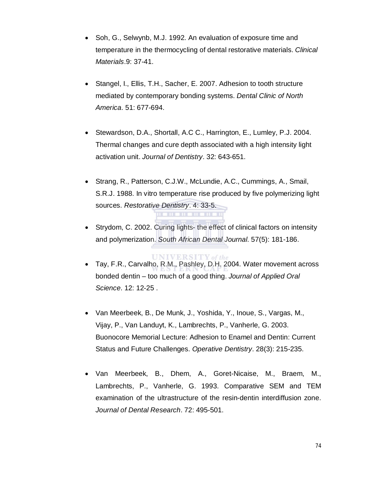- Soh, G., Selwynb, M.J. 1992. An evaluation of exposure time and temperature in the thermocycling of dental restorative materials. *Clinical Materials*.9: 37-41.
- Stangel, I., Ellis, T.H., Sacher, E. 2007. Adhesion to tooth structure mediated by contemporary bonding systems. *Dental Clinic of North America*. 51: 677-694.
- Stewardson, D.A., Shortall, A.C C., Harrington, E., Lumley, P.J. 2004. Thermal changes and cure depth associated with a high intensity light activation unit. *Journal of Dentistry*. 32: 643-651.
- Strang, R., Patterson, C.J.W., McLundie, A.C., Cummings, A., Smail, S.R.J. 1988. In vitro temperature rise produced by five polymerizing light sources. *Restorative Dentistry*. 4: 33-5.
- Strydom, C. 2002. Curing lights- the effect of clinical factors on intensity and polymerization. *South African Dental Journal*. 57(5): 181-186.
- **UNIVERSITY** of the Tay, F.R., Carvalho, R.M., Pashley, D.H. 2004. Water movement across bonded dentin – too much of a good thing. *Journal of Applied Oral Science*. 12: 12-25 .
- Van Meerbeek, B., De Munk, J., Yoshida, Y., Inoue, S., Vargas, M., Vijay, P., Van Landuyt, K., Lambrechts, P., Vanherle, G. 2003. Buonocore Memorial Lecture: Adhesion to Enamel and Dentin: Current Status and Future Challenges. *Operative Dentistry*. 28(3): 215-235.
- Van Meerbeek, B., Dhem, A., Goret-Nicaise, M., Braem, M., Lambrechts, P., Vanherle, G. 1993. Comparative SEM and TEM examination of the ultrastructure of the resin-dentin interdiffusion zone. *Journal of Dental Research*. 72: 495-501.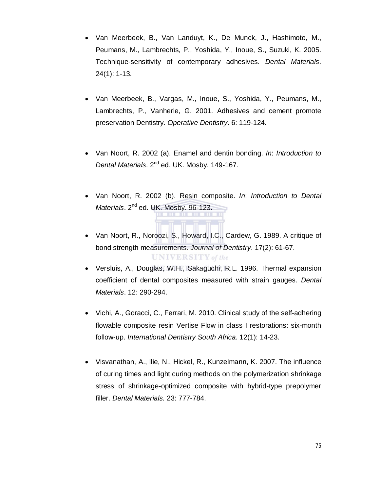- Van Meerbeek, B., Van Landuyt, K., De Munck, J., Hashimoto, M., Peumans, M., Lambrechts, P., Yoshida, Y., Inoue, S., Suzuki, K. 2005. Technique-sensitivity of contemporary adhesives. *Dental Materials*. 24(1): 1-13.
- Van Meerbeek, B., Vargas, M., Inoue, S., Yoshida, Y., Peumans, M., Lambrechts, P., Vanherle, G. 2001. Adhesives and cement promote preservation Dentistry. *Operative Dentistry*. 6: 119-124.
- Van Noort, R. 2002 (a). Enamel and dentin bonding. *In*: *Introduction to Dental Materials*. 2nd ed. UK. Mosby. 149-167.
- Van Noort, R. 2002 (b). Resin composite. *In*: *Introduction to Dental Materials*. 2<sup>nd</sup> ed. UK. Mosby. 96-123.
- Van Noort, R., Noroozi, S., Howard, I.C., Cardew, G. 1989. A critique of bond strength measurements. *Journal of Dentistry*. 17(2): 61-67. **UNIVERSITY** of the
- Versluis, A., Douglas, W.H., Sakaguchi, R.L. 1996. Thermal expansion coefficient of dental composites measured with strain gauges. *Dental Materials*. 12: 290-294.
- Vichi, A., Goracci, C., Ferrari, M. 2010. Clinical study of the self-adhering flowable composite resin Vertise Flow in class I restorations: six-month follow-up. *International Dentistry South Africa*. 12(1): 14-23.
- Visvanathan, A., Ilie, N., Hickel, R., Kunzelmann, K. 2007. The influence of curing times and light curing methods on the polymerization shrinkage stress of shrinkage-optimized composite with hybrid-type prepolymer filler. *Dental Materials.* 23: 777-784.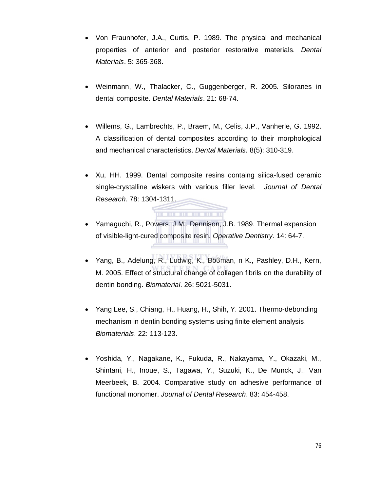- Von Fraunhofer, J.A., Curtis, P. 1989. The physical and mechanical properties of anterior and posterior restorative materials. *Dental Materials*. 5: 365-368.
- Weinmann, W., Thalacker, C., Guggenberger, R. 2005. Siloranes in dental composite. *Dental Materials*. 21: 68-74.
- Willems, G., Lambrechts, P., Braem, M., Celis, J.P., Vanherle, G. 1992. A classification of dental composites according to their morphological and mechanical characteristics. *Dental Materials.* 8(5): 310-319.
- Xu, HH. 1999. Dental composite resins containg silica-fused ceramic single-crystalline wiskers with various filler level. *Journal of Dental Research*. 78: 1304-1311.
- Yamaguchi, R., Powers, J.M., Dennison, J.B. 1989. Thermal expansion of visible-light-cured composite resin. *Operative Dentistry*. 14: 64-7.

. . . . . . . . . . . .

- Yang, B., Adelung, R., Ludwig, K., Böϐman, n K., Pashley, D.H., Kern, M. 2005. Effect of structural change of collagen fibrils on the durability of dentin bonding. *Biomaterial*. 26: 5021-5031.
- Yang Lee, S., Chiang, H., Huang, H., Shih, Y. 2001. Thermo-debonding mechanism in dentin bonding systems using finite element analysis. *Biomaterials*. 22: 113-123.
- Yoshida, Y., Nagakane, K., Fukuda, R., Nakayama, Y., Okazaki, M., Shintani, H., Inoue, S., Tagawa, Y., Suzuki, K., De Munck, J., Van Meerbeek, B. 2004. Comparative study on adhesive performance of functional monomer. *Journal of Dental Research*. 83: 454-458.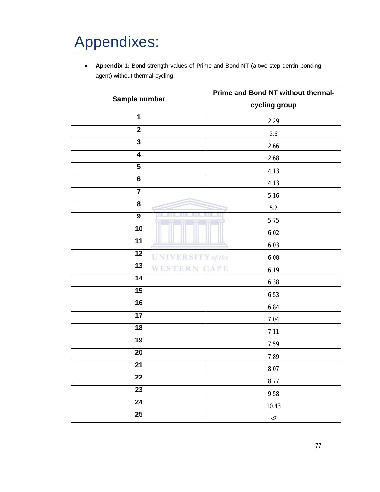# Appendixes:

 **Appendix 1:** Bond strength values of Prime and Bond NT (a two-step dentin bonding agent) without thermal-cycling:

| Sample number              | Prime and Bond NT without thermal- |
|----------------------------|------------------------------------|
|                            | cycling group                      |
| 1                          | 2.29                               |
| $\mathbf{2}$               | 2.6                                |
| $\overline{\mathbf{3}}$    | 2.66                               |
| $\overline{4}$             | 2.68                               |
| 5                          | 4.13                               |
| $\bf 6$                    | 4.13                               |
| $\overline{\mathbf{7}}$    | 5.16                               |
| 8                          | 5.2                                |
| $\overline{9}$             | 5.75                               |
| $\overline{10}$            | 6.02                               |
| 11                         | 6.03                               |
| $\overline{12}$            | I of the<br>6.08                   |
| $\overline{13}$<br>WESTERN | APE<br>6.19                        |
| $\overline{14}$            | 6.38                               |
| $\overline{15}$            | 6.53                               |
| $\overline{16}$            | 6.84                               |
| 17                         | 7.04                               |
| 18                         | 7.11                               |
| $\overline{19}$            | 7.59                               |
| $20\,$                     | 7.89                               |
| 21                         | 8.07                               |
| $\overline{22}$            | 8.77                               |
| $\overline{23}$            | 9.58                               |
| $\overline{24}$            | 10.43                              |
| $\overline{25}$            | ${<}2$                             |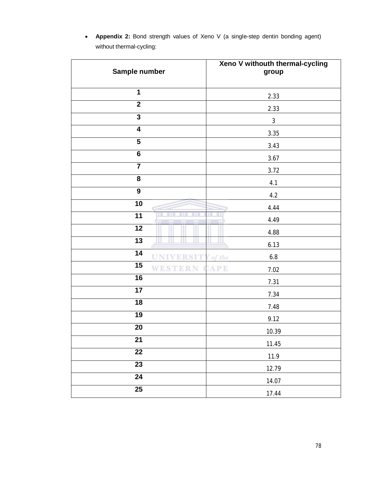| Sample number           | Xeno V withouth thermal-cycling<br>group |
|-------------------------|------------------------------------------|
| $\mathbf 1$             | 2.33                                     |
| $\overline{2}$          | 2.33                                     |
| $\mathbf{3}$            | $\mathbf{3}$                             |
| $\overline{\mathbf{4}}$ | $3.35\,$                                 |
| $\overline{5}$          | 3.43                                     |
| $\overline{\mathbf{6}}$ | 3.67                                     |
| $\overline{\mathbf{7}}$ | 3.72                                     |
| 8                       | 4.1                                      |
| $\overline{9}$          | $4.2\,$                                  |
| 10                      | 4.44                                     |
| 11                      | 4.49                                     |
| $\overline{12}$         | 4.88                                     |
| 13                      | 6.13                                     |
| $\overline{14}$<br>RST  | $6.8\,$<br>I of the                      |
| 15<br>WEST<br>RΝ<br>K.  | APE<br>$7.02$                            |
| 16                      | 7.31                                     |
| 17                      | 7.34                                     |
| 18                      | 7.48                                     |
| 19                      | 9.12                                     |
| 20                      | 10.39                                    |
| 21                      | 11.45                                    |
| $\overline{22}$         | 11.9                                     |
| $\overline{23}$         | 12.79                                    |
| $\overline{24}$         | 14.07                                    |
| $\overline{25}$         | 17.44                                    |

 **Appendix 2:** Bond strength values of Xeno V (a single-step dentin bonding agent) without thermal-cycling: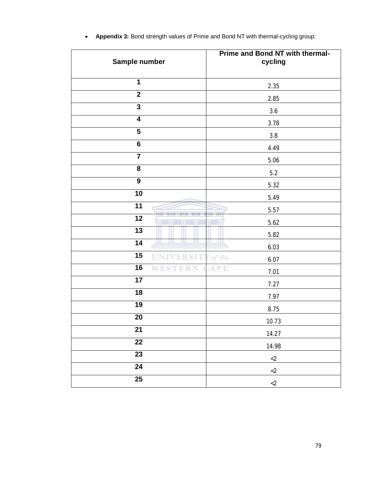| Sample number           | Prime and Bond NT with thermal-<br>cycling |
|-------------------------|--------------------------------------------|
| 1                       | 2.35                                       |
| $\mathbf{2}$            | 2.85                                       |
| $\overline{3}$          | 3.6                                        |
| $\overline{\mathbf{4}}$ | 3.78                                       |
| $\overline{\mathbf{5}}$ | $3.8\,$                                    |
| $\overline{6}$          | 4.49                                       |
| $\overline{7}$          | 5.06                                       |
| 8                       | $5.2\,$                                    |
| $\boldsymbol{9}$        | 5.32                                       |
| 10                      | 5.49                                       |
| $\overline{11}$         | 5.57                                       |
| 12<br>m                 | 5.62                                       |
| $\overline{13}$         | 5.82                                       |
| 14<br>ш                 | 6.03                                       |
| 15<br><b>UNIVERSIT</b>  | I of the<br>6.07                           |
| 16<br>WES               | APE<br>7.01                                |
| $\overline{17}$         | 7.27                                       |
| 18                      | 7.97                                       |
| 19                      | 8.75                                       |
| $\overline{20}$         | 10.73                                      |
| 21                      | 14.27                                      |
| $\overline{22}$         | 14.98                                      |
| $\overline{23}$         | ${<}2$                                     |
| $\overline{24}$         | ${<}2$                                     |
| $\overline{25}$         | ${<}2$                                     |

**Appendix 3:** Bond strength values of Prime and Bond NT with thermal-cycling group: